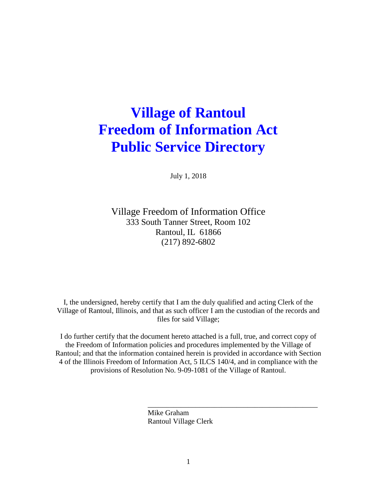# **Village of Rantoul Freedom of Information Act Public Service Directory**

July 1, 2018

Village Freedom of Information Office 333 South Tanner Street, Room 102 Rantoul, IL 61866 (217) 892-6802

I, the undersigned, hereby certify that I am the duly qualified and acting Clerk of the Village of Rantoul, Illinois, and that as such officer I am the custodian of the records and files for said Village;

I do further certify that the document hereto attached is a full, true, and correct copy of the Freedom of Information policies and procedures implemented by the Village of Rantoul; and that the information contained herein is provided in accordance with Section 4 of the Illinois Freedom of Information Act, 5 ILCS 140/4, and in compliance with the provisions of Resolution No. 9-09-1081 of the Village of Rantoul.

\_\_\_\_\_\_\_\_\_\_\_\_\_\_\_\_\_\_\_\_\_\_\_\_\_\_\_\_\_\_\_\_\_\_\_\_\_\_\_\_\_\_\_\_\_\_

 Mike Graham Rantoul Village Clerk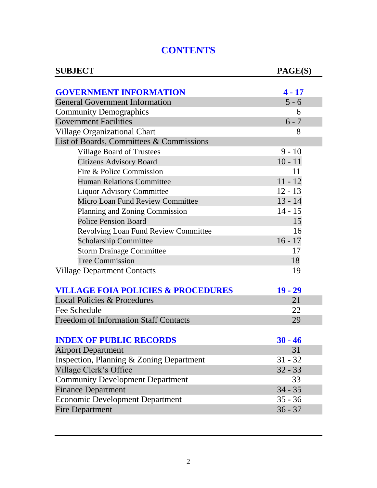# **CONTENTS**

| <b>SUBJECT</b>                                | PAGE(S)   |
|-----------------------------------------------|-----------|
|                                               |           |
| <b>GOVERNMENT INFORMATION</b>                 | $4 - 17$  |
| <b>General Government Information</b>         | $5 - 6$   |
| <b>Community Demographics</b>                 | 6         |
| <b>Government Facilities</b>                  | $6 - 7$   |
| <b>Village Organizational Chart</b>           | 8         |
| List of Boards, Committees & Commissions      |           |
| <b>Village Board of Trustees</b>              | $9 - 10$  |
| <b>Citizens Advisory Board</b>                | $10 - 11$ |
| Fire & Police Commission                      | 11        |
| <b>Human Relations Committee</b>              | $11 - 12$ |
| <b>Liquor Advisory Committee</b>              | $12 - 13$ |
| Micro Loan Fund Review Committee              | $13 - 14$ |
| Planning and Zoning Commission                | $14 - 15$ |
| <b>Police Pension Board</b>                   | 15        |
| <b>Revolving Loan Fund Review Committee</b>   | 16        |
| <b>Scholarship Committee</b>                  | $16 - 17$ |
| <b>Storm Drainage Committee</b>               | 17        |
| <b>Tree Commission</b>                        | 18        |
| <b>Village Department Contacts</b>            | 19        |
| <b>VILLAGE FOIA POLICIES &amp; PROCEDURES</b> | $19 - 29$ |
| Local Policies & Procedures                   | 21        |
| Fee Schedule                                  | 22        |
| <b>Freedom of Information Staff Contacts</b>  | 29        |
| <b>INDEX OF PUBLIC RECORDS</b>                | $30 - 46$ |
| <b>Airport Department</b>                     | 31        |
| Inspection, Planning & Zoning Department      | $31 - 32$ |
| Village Clerk's Office                        | $32 - 33$ |
| <b>Community Development Department</b>       | 33        |
| <b>Finance Department</b>                     | $34 - 35$ |
| <b>Economic Development Department</b>        | $35 - 36$ |
| <b>Fire Department</b>                        | $36 - 37$ |
|                                               |           |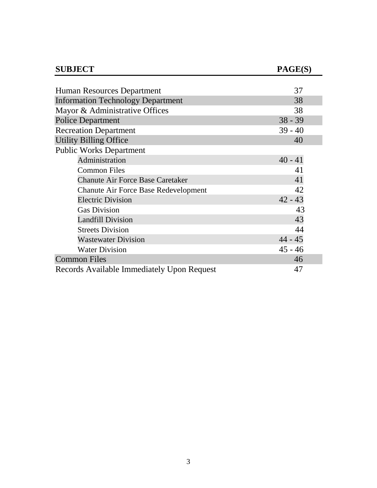| <b>SUBJECT</b>                              | PAGE(S)   |
|---------------------------------------------|-----------|
|                                             |           |
| Human Resources Department                  | 37        |
| <b>Information Technology Department</b>    | 38        |
| Mayor & Administrative Offices              | 38        |
| <b>Police Department</b>                    | $38 - 39$ |
| <b>Recreation Department</b>                | $39 - 40$ |
| <b>Utility Billing Office</b>               | 40        |
| <b>Public Works Department</b>              |           |
| Administration                              | $40 - 41$ |
| <b>Common Files</b>                         | 41        |
| <b>Chanute Air Force Base Caretaker</b>     | 41        |
| <b>Chanute Air Force Base Redevelopment</b> | 42        |
| <b>Electric Division</b>                    | $42 - 43$ |
| <b>Gas Division</b>                         | 43        |
| <b>Landfill Division</b>                    | 43        |
| <b>Streets Division</b>                     | 44        |
| <b>Wastewater Division</b>                  | $44 - 45$ |
| <b>Water Division</b>                       | $45 - 46$ |
| <b>Common Files</b>                         | 46        |
| Records Available Immediately Upon Request  | 47        |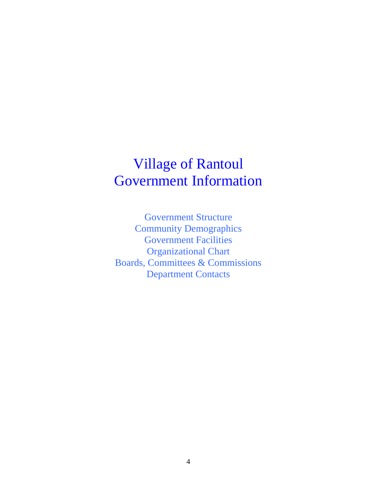# Village of Rantoul Government Information

Government Structure Community Demographics Government Facilities Organizational Chart Boards, Committees & Commissions Department Contacts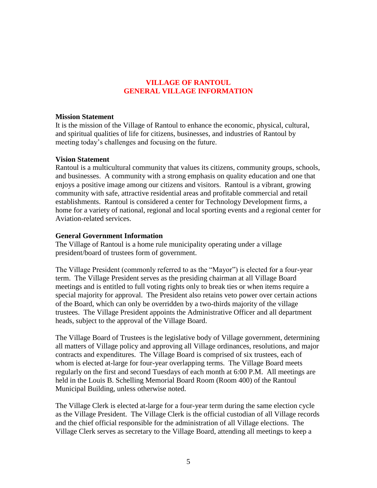# **VILLAGE OF RANTOUL GENERAL VILLAGE INFORMATION**

#### **Mission Statement**

It is the mission of the Village of Rantoul to enhance the economic, physical, cultural, and spiritual qualities of life for citizens, businesses, and industries of Rantoul by meeting today's challenges and focusing on the future.

#### **Vision Statement**

Rantoul is a multicultural community that values its citizens, community groups, schools, and businesses. A community with a strong emphasis on quality education and one that enjoys a positive image among our citizens and visitors. Rantoul is a vibrant, growing community with safe, attractive residential areas and profitable commercial and retail establishments. Rantoul is considered a center for Technology Development firms, a home for a variety of national, regional and local sporting events and a regional center for Aviation-related services.

#### **General Government Information**

The Village of Rantoul is a home rule municipality operating under a village president/board of trustees form of government.

The Village President (commonly referred to as the "Mayor") is elected for a four-year term. The Village President serves as the presiding chairman at all Village Board meetings and is entitled to full voting rights only to break ties or when items require a special majority for approval. The President also retains veto power over certain actions of the Board, which can only be overridden by a two-thirds majority of the village trustees. The Village President appoints the Administrative Officer and all department heads, subject to the approval of the Village Board.

The Village Board of Trustees is the legislative body of Village government, determining all matters of Village policy and approving all Village ordinances, resolutions, and major contracts and expenditures. The Village Board is comprised of six trustees, each of whom is elected at-large for four-year overlapping terms. The Village Board meets regularly on the first and second Tuesdays of each month at 6:00 P.M. All meetings are held in the Louis B. Schelling Memorial Board Room (Room 400) of the Rantoul Municipal Building, unless otherwise noted.

The Village Clerk is elected at-large for a four-year term during the same election cycle as the Village President. The Village Clerk is the official custodian of all Village records and the chief official responsible for the administration of all Village elections. The Village Clerk serves as secretary to the Village Board, attending all meetings to keep a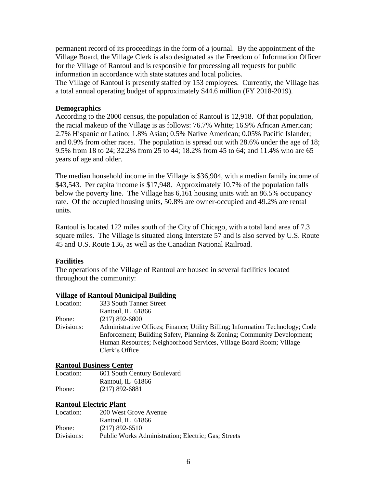permanent record of its proceedings in the form of a journal. By the appointment of the Village Board, the Village Clerk is also designated as the Freedom of Information Officer for the Village of Rantoul and is responsible for processing all requests for public information in accordance with state statutes and local policies.

The Village of Rantoul is presently staffed by 153 employees. Currently, the Village has a total annual operating budget of approximately \$44.6 million (FY 2018-2019).

### **Demographics**

According to the 2000 census, the population of Rantoul is 12,918. Of that population, the racial makeup of the Village is as follows: 76.7% White; 16.9% African American; 2.7% Hispanic or Latino; 1.8% Asian; 0.5% Native American; 0.05% Pacific Islander; and 0.9% from other races. The population is spread out with 28.6% under the age of 18; 9.5% from 18 to 24; 32.2% from 25 to 44; 18.2% from 45 to 64; and 11.4% who are 65 years of age and older.

The median household income in the Village is \$36,904, with a median family income of \$43,543. Per capita income is \$17,948. Approximately 10.7% of the population falls below the poverty line. The Village has 6,161 housing units with an 86.5% occupancy rate. Of the occupied housing units, 50.8% are owner-occupied and 49.2% are rental units.

Rantoul is located 122 miles south of the City of Chicago, with a total land area of 7.3 square miles. The Village is situated along Interstate 57 and is also served by U.S. Route 45 and U.S. Route 136, as well as the Canadian National Railroad.

### **Facilities**

The operations of the Village of Rantoul are housed in several facilities located throughout the community:

### **Village of Rantoul Municipal Building**

| Location:  | 333 South Tanner Street                                                                                                                                                                                                                            |
|------------|----------------------------------------------------------------------------------------------------------------------------------------------------------------------------------------------------------------------------------------------------|
|            | Rantoul, IL 61866                                                                                                                                                                                                                                  |
| Phone:     | $(217)$ 892-6800                                                                                                                                                                                                                                   |
| Divisions: | Administrative Offices; Finance; Utility Billing; Information Technology; Code<br>Enforcement; Building Safety, Planning & Zoning; Community Development;<br>Human Resources; Neighborhood Services, Village Board Room; Village<br>Clerk's Office |
|            |                                                                                                                                                                                                                                                    |

### **Rantoul Business Center**

Location: 601 South Century Boulevard Rantoul, IL 61866 Phone: (217) 892-6881

### **Rantoul Electric Plant**

| Location:  | 200 West Grove Avenue                               |
|------------|-----------------------------------------------------|
|            | Rantoul, IL 61866                                   |
| Phone:     | $(217)$ 892-6510                                    |
| Divisions: | Public Works Administration; Electric; Gas; Streets |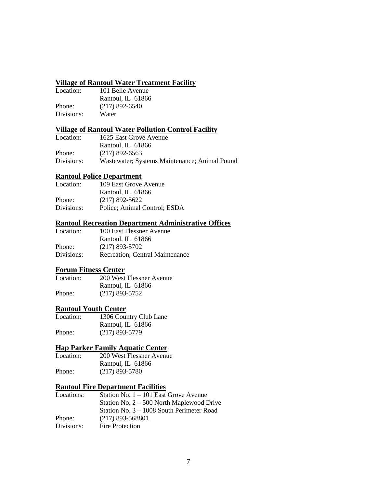# **Village of Rantoul Water Treatment Facility**

| Location:  | 101 Belle Avenue  |
|------------|-------------------|
|            | Rantoul, IL 61866 |
| Phone:     | $(217)$ 892-6540  |
| Divisions: | Water             |

### **Village of Rantoul Water Pollution Control Facility**

| Location:  | 1625 East Grove Avenue                        |
|------------|-----------------------------------------------|
|            | Rantoul, IL 61866                             |
| Phone:     | $(217)$ 892-6563                              |
| Divisions: | Wastewater; Systems Maintenance; Animal Pound |

#### **Rantoul Police Department**

| Location:  | 109 East Grove Avenue        |
|------------|------------------------------|
|            | Rantoul, IL 61866            |
| Phone:     | $(217)$ 892-5622             |
| Divisions: | Police; Animal Control; ESDA |

# **Rantoul Recreation Department Administrative Offices**

| Location:  | 100 East Flessner Avenue                |
|------------|-----------------------------------------|
|            | Rantoul, IL 61866                       |
| Phone:     | $(217)$ 893-5702                        |
| Divisions: | <b>Recreation</b> ; Central Maintenance |

### **Forum Fitness Center**

| Location: | 200 West Flessner Avenue |
|-----------|--------------------------|
|           | Rantoul, IL 61866        |
| Phone:    | $(217)$ 893-5752         |

#### **Rantoul Youth Center**

| Location: | 1306 Country Club Lane |
|-----------|------------------------|
|           | Rantoul, IL 61866      |
| Phone:    | $(217)$ 893-5779       |

### **Hap Parker Family Aquatic Center**

| Location: | 200 West Flessner Avenue |
|-----------|--------------------------|
|           | Rantoul, IL 61866        |
| Phone:    | $(217)$ 893-5780         |

# **Rantoul Fire Department Facilities**

| Locations: | Station No. $1 - 101$ East Grove Avenue     |
|------------|---------------------------------------------|
|            | Station No. $2 - 500$ North Maplewood Drive |
|            | Station No. $3 - 1008$ South Perimeter Road |
| Phone:     | $(217)$ 893-568801                          |
| Divisions: | Fire Protection                             |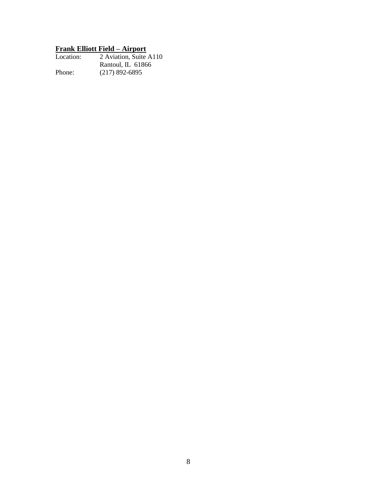# **Frank Elliott Field – Airport**

| Location: | 2 Aviation, Suite A110 |
|-----------|------------------------|
|           | Rantoul, IL 61866      |
| Phone:    | $(217)$ 892-6895       |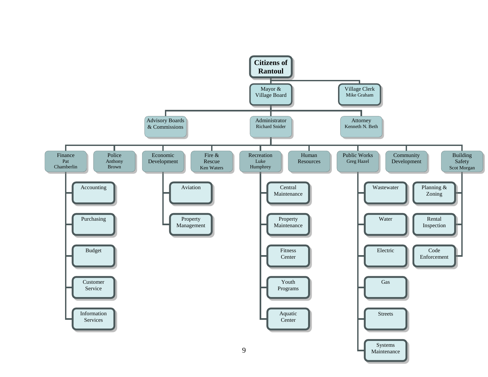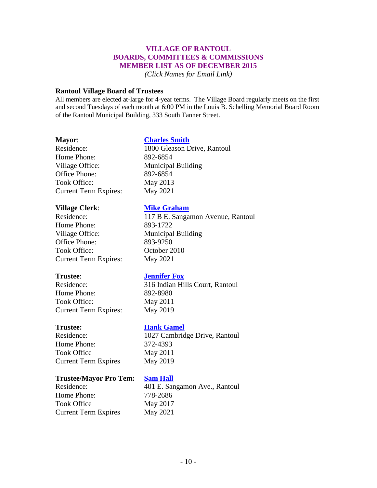### **VILLAGE OF RANTOUL BOARDS, COMMITTEES & COMMISSIONS MEMBER LIST AS OF DECEMBER 2015**

*(Click Names for Email Link)*

#### **Rantoul Village Board of Trustees**

All members are elected at-large for 4-year terms. The Village Board regularly meets on the first and second Tuesdays of each month at 6:00 PM in the Louis B. Schelling Memorial Board Room of the Rantoul Municipal Building, 333 South Tanner Street.

### **Mayor**: **[Charles Smith](mailto:NWilliam@village.rantoul.il.us)**

Home Phone: 892-6854 Village Office: Municipal Building Office Phone: 892-6854 Took Office: May 2013 Current Term Expires: May 2021

Residence: 1800 Gleason Drive, Rantoul

### **Village Clerk**: **[Mike Graham](mailto:mikepgraham@earthlink.net)**

Residence: 117 B E. Sangamon Avenue, Rantoul Home Phone: 893-1722 Village Office: Municipal Building Office Phone: 893-9250 Took Office: 0ctober 2010 Current Term Expires: May 2021

### **Trustee**: **[Jennifer Fox](mailto:ajbrown@mchsi.com)**

Residence: 316 Indian Hills Court, Rantoul Home Phone: 892-8980 Took Office: May 2011 Current Term Expires: May 2019

Home Phone: 372-4393 Took Office May 2011 Current Term Expires May 2019

### **Trustee: [Hank Gamel](mailto:jmfox80@gmail.com)**

Residence: 1027 Cambridge Drive, Rantoul

### **Trustee/Mayor Pro Tem: [Sam Hall](mailto:hhgamel@village.rantoul.il.us)**

Home Phone: 778-2686 Took Office May 2017 Current Term Expires May 2021

Residence: 401 E. Sangamon Ave., Rantoul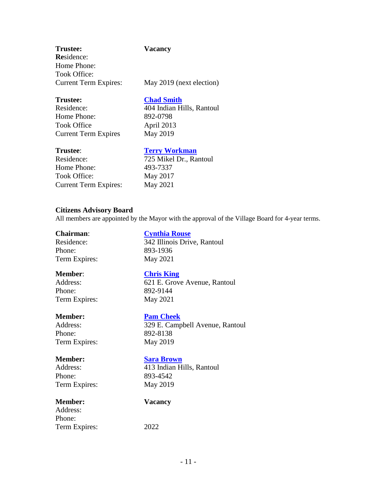| <b>Trustee:</b>              | Vacancy                  |
|------------------------------|--------------------------|
| <b>Residence:</b>            |                          |
| Home Phone:                  |                          |
| Took Office:                 |                          |
| <b>Current Term Expires:</b> | May 2019 (next election) |
| <b>Trustee:</b>              | <b>Chad Smith</b>        |

Home Phone: 892-0798 Took Office April 2013 Current Term Expires May 2019

Residence: 404 Indian Hills, Rantoul

### **Trustee: [Terry Workman](mailto:roger.jones@mchsi.com)**

Residence: 725 Mikel Dr., Rantoul Home Phone: 493-7337 Took Office: May 2017 Current Term Expires: May 2021

### **Citizens Advisory Board**

All members are appointed by the Mayor with the approval of the Village Board for 4-year terms.

Phone: 893-1936 Term Expires: May 2021

**Chairman**: **[Cynthia Rouse](mailto:skcombest@rantoultrucksales.com)** Residence: 342 Illinois Drive, Rantoul

Phone: 892-9144 Term Expires: May 2021

**Member**: **[Chris King](mailto:skcombest@rantoultrucksales.com)** Address: 621 E. Grove Avenue, Rantoul

### **Member: [Pam Cheek](mailto:skcombest@rantoultrucksales.com)**

Address: 329 E. Campbell Avenue, Rantoul Phone: 892-8138 Term Expires: May 2019

#### **Member: [Sara Brown](mailto:skcombest@rantoultrucksales.com)**

Address: 413 Indian Hills, Rantoul Phone: 893-4542 Term Expires: May 2019

**Member: Vacancy**

### Address: Phone: Term Expires: 2022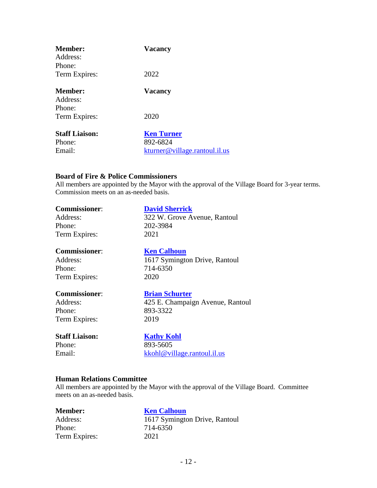| <b>Member:</b><br>Address:    | <b>Vacancy</b>                |
|-------------------------------|-------------------------------|
| Phone:                        |                               |
| Term Expires:                 | 2022                          |
| Member:<br>Address:<br>Phone: | <b>Vacancy</b>                |
|                               |                               |
| Term Expires:                 | 2020                          |
| <b>Staff Liaison:</b>         | <b>Ken Turner</b>             |
| Phone:                        | 892-6824                      |
| Email:                        | kturner@village.rantoul.il.us |

### **Board of Fire & Police Commissioners**

All members are appointed by the Mayor with the approval of the Village Board for 3-year terms. Commission meets on an as-needed basis.

| <b>Commissioner:</b>  | <b>David Sherrick</b>            |
|-----------------------|----------------------------------|
| Address:              | 322 W. Grove Avenue, Rantoul     |
| Phone:                | 202-3984                         |
| Term Expires:         | 2021                             |
| <b>Commissioner:</b>  | <b>Ken Calhoun</b>               |
| Address:              | 1617 Symington Drive, Rantoul    |
| Phone:                | 714-6350                         |
| Term Expires:         | 2020                             |
| <b>Commissioner:</b>  | <b>Brian Schurter</b>            |
| Address:              | 425 E. Champaign Avenue, Rantoul |
| Phone:                | 893-3322                         |
| Term Expires:         | 2019                             |
| <b>Staff Liaison:</b> | <b>Kathy Kohl</b>                |
| Phone:                | 893-5605                         |
| Email:                | kkohl@village.rantoul.il.us      |
|                       |                                  |

#### **Human Relations Committee**

All members are appointed by the Mayor with the approval of the Village Board. Committee meets on an as-needed basis.

| <b>Ken</b> |
|------------|
| 1617       |
| 714-6      |
| 2021       |
|            |

**<u>[Ken Calhoun](mailto:btschurter@tbklaw.com)</u>** 1617 Symington Drive, Rantoul 714-6350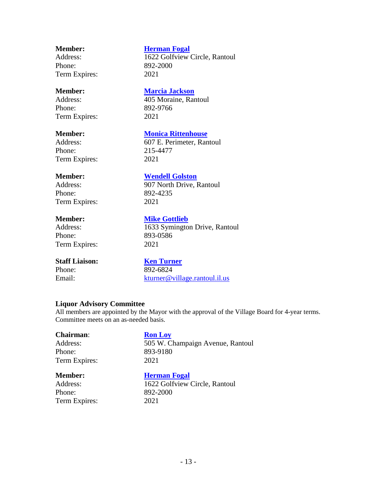Phone: 892-2000 Term Expires: 2021

Phone: 892-9766 Term Expires: 2021

Phone: 215-4477 Term Expires: 2021

Phone: 892-4235 Term Expires: 2021

Phone: 893-0586 Term Expires: 2021

### **Staff Liaison: [Ken Turner](mailto:btschurter@tbklaw.com)**

Email: [kturner@village.rantoul.il.us](mailto:kturner@village.rantoul.il.us)

### **Member: [Herman Fogal](mailto:HFOGAL@aol.com)**

Address: 1622 Golfview Circle, Rantoul

# **Member: [Marcia Jackson](mailto:HFOGAL@aol.com)**

Address: 405 Moraine, Rantoul

### **Member: [Monica Rittenhouse](mailto:HFOGAL@aol.com)**

Address: 607 E. Perimeter, Rantoul

# **Member: [Wendell Golston](mailto:HFOGAL@aol.com)**

Address: 907 North Drive, Rantoul

# **Member: [Mike Gottlieb](mailto:HFOGAL@aol.com)** Address: 1633 Symington Drive, Rantoul

Phone: 892-6824

### **Liquor Advisory Committee**

All members are appointed by the Mayor with the approval of the Village Board for 4-year terms. Committee meets on an as-needed basis.

# **Chairman: [Ron Loy](mailto:ronaloy@aol.com)** Phone: 893-9180 Term Expires: 2021

Address: 505 W. Champaign Avenue, Rantoul

Phone: 892-2000 Term Expires: 2021

# **Member: [Herman Fogal](mailto:HFOGAL@aol.com)** Address: 1622 Golfview Circle, Rantoul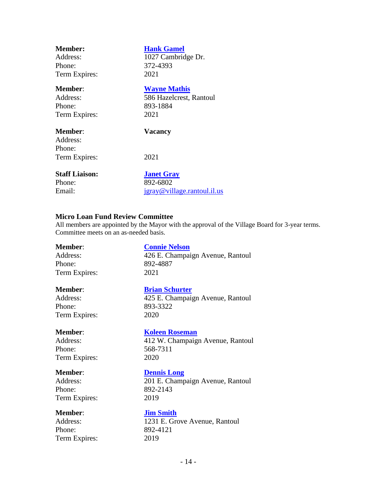| <b>Member:</b>                | <b>Hank Gamel</b>           |
|-------------------------------|-----------------------------|
| Address:                      | 1027 Cambridge Dr.          |
| Phone:                        | 372-4393                    |
| Term Expires:                 | 2021                        |
| Member:                       | <b>Wayne Mathis</b>         |
| Address:                      | 586 Hazelcrest, Rantoul     |
| Phone:                        | 893-1884                    |
| Term Expires:                 | 2021                        |
| Member:<br>Address:<br>Phone: | <b>Vacancy</b>              |
| Term Expires:                 | 2021                        |
| <b>Staff Liaison:</b>         | <b>Janet Gray</b>           |
| Phone:                        | 892-6802                    |
| Email:                        | jgray@village.rantoul.il.us |

#### **Micro Loan Fund Review Committee**

All members are appointed by the Mayor with the approval of the Village Board for 3-year terms. Committee meets on an as-needed basis.

Phone: 892-4887 Term Expires: 2021

#### **Member**: **[Connie Nelson](mailto:cnelsoncpa@mchsi.com)**

Address: 426 E. Champaign Avenue, Rantoul

#### **Member**: **[Brian Schurter](mailto:btschurter@tbklaw.com)**

Address: 425 E. Champaign Avenue, Rantoul Phone: 893-3322 Term Expires: 2020

#### **Member: [Koleen Roseman](mailto:btschurter@tbklaw.com)**

Phone: 568-7311 Term Expires: 2020

Phone: 892-2143 Term Expires: 2019

#### **Member**: **[Jim Smith](mailto:btschurter@tbklaw.com)**

Phone: 892-4121 Term Expires: 2019

Address: 412 W. Champaign Avenue, Rantoul

#### **Member**: **[Dennis Long](mailto:DLong@bankofrantoul.com)**

Address: 201 E. Champaign Avenue, Rantoul

Address: 1231 E. Grove Avenue, Rantoul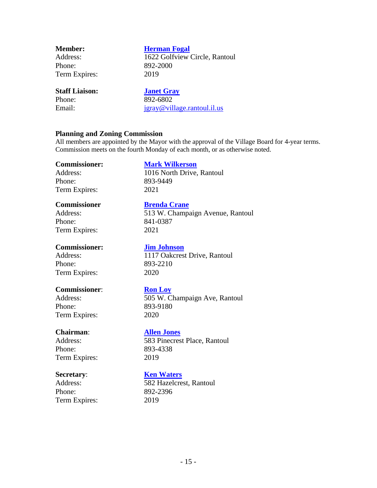| <b>Member:</b>        | <b>Herman Fogal</b>           |
|-----------------------|-------------------------------|
| Address:              | 1622 Golfview Circle, Rantoul |
| Phone:                | 892-2000                      |
| Term Expires:         | 2019                          |
| <b>Staff Liaison:</b> | <b>Janet Gray</b>             |
| Phone:                | 892-6802                      |
| Email:                | jgray@village.rantoul.il.us   |
|                       |                               |

#### **Planning and Zoning Commission**

All members are appointed by the Mayor with the approval of the Village Board for 4-year terms. Commission meets on the fourth Monday of each month, or as otherwise noted.

#### **Commissioner: [Mark Wilkerson](mailto:ronaloy@aol.com)**

Address: 1016 North Drive, Rantoul Phone: 893-9449 Term Expires: 2021

#### **Commissioner [Brenda Crane](mailto:ronaloy@aol.com)**

Address: 513 W. Champaign Avenue, Rantoul Phone: 841-0387 Term Expires: 2021

#### **Commissioner: [Jim Johnson](mailto:ronaloy@aol.com)**

Phone: 893-2210 Term Expires: 2020

#### **Commissioner**: **[Ron Loy](mailto:ronaloy@aol.com)**

Phone: 893-9180 Term Expires: 2020

Phone: 893-4338 Term Expires: 2019

Phone: 892-2396 Term Expires: 2019

Address: 1117 Oakcrest Drive, Rantoul

Address: 505 W. Champaign Ave, Rantoul

#### **Chairman**: **[Allen Jones](mailto:allenjones7@mchsi.com)**

Address: 583 Pinecrest Place, Rantoul

### **Secretary: [Ken Waters](mailto:KWaters@village.rantoul.il.us)**

Address: 582 Hazelcrest, Rantoul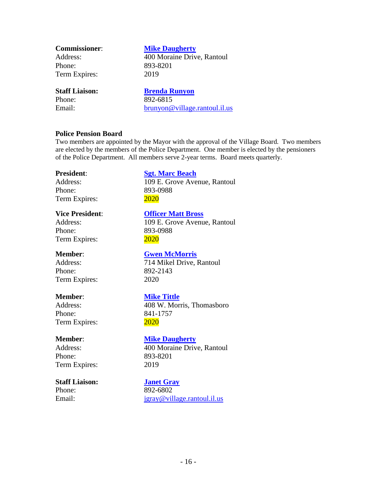| <b>Commissioner:</b>  | <b>Mike Daugherty</b>         |
|-----------------------|-------------------------------|
| Address:              | 400 Moraine Drive, Rantoul    |
| Phone:                | 893-8201                      |
| Term Expires:         | 2019                          |
| <b>Staff Liaison:</b> | <b>Brenda Runyon</b>          |
| Phone:                | 892-6815                      |
| Email:                | brunyon@village.rantoul.il.us |

#### **Police Pension Board**

Two members are appointed by the Mayor with the approval of the Village Board. Two members are elected by the members of the Police Department. One member is elected by the pensioners of the Police Department. All members serve 2-year terms. Board meets quarterly.

Phone: 893-0988 Term Expires: 2020

Phone: 893-0988 Term Expires: 2020

Phone: 892-2143 Term Expires: 2020

Phone: 841-1757 Term Expires: 2020

Phone: 893-8201 Term Expires: 2019

### **Staff Liaison: [Janet Gray](mailto:btschurter@tbklaw.com)**

# **President**: **[Sgt. Marc Beach](mailto:mtittle@mchsi.com)**

Address: 109 E. Grove Avenue, Rantoul

**Vice President**: **[Officer Matt Bross](mailto:mtittle@mchsi.com)** Address: 109 E. Grove Avenue, Rantoul

#### **Member**: **[Gwen McMorris](mailto:mtittle@mchsi.com)**

Address: 714 Mikel Drive, Rantoul

#### **Member**: **[Mike Tittle](mailto:mtittle@mchsi.com)**

Address: 408 W. Morris, Thomasboro

# **Member**: **[Mike Daugherty](mailto:manager@cuplus.org)**

Address: 400 Moraine Drive, Rantoul

Phone: 892-6802 Email:  $jgray@village.random.I.l.us$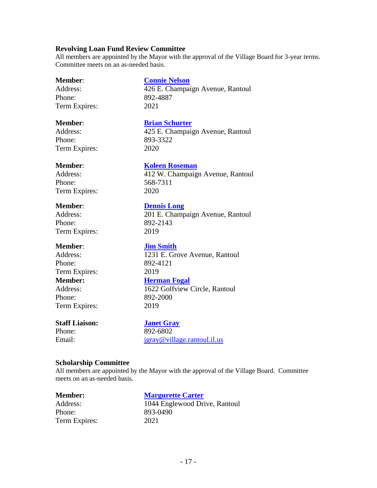#### **Revolving Loan Fund Review Committee**

All members are appointed by the Mayor with the approval of the Village Board for 3-year terms. Committee meets on an as-needed basis.

Phone: 892-4887 Term Expires: 2021

**Member**: **[Connie Nelson](mailto:cnelsoncpa@mchsi.com)**

Address: 426 E. Champaign Avenue, Rantoul

Phone: 893-3322 Term Expires: 2020

# **Member**: **[Brian Schurter](mailto:btschurter@tbklaw.com)**

Address: 425 E. Champaign Avenue, Rantoul

#### **Member**: **[Koleen Roseman](mailto:btschurter@tbklaw.com)**

Address: 412 W. Champaign Avenue, Rantoul Phone: 568-7311 Term Expires: 2020

#### **Member**: **[Dennis Long](mailto:DLong@bankofrantoul.com)**

Address: 201 E. Champaign Avenue, Rantoul Phone: 892-2143 Term Expires: 2019

#### **Member**: **[Jim Smith](mailto:btschurter@tbklaw.com)**

Phone: 892-4121 Term Expires: 2019 **Member: <u>[Herman Fogal](mailto:HFOGAL@aol.com)</u>**<br>Address: **1622 Golfview** Phone: 892-2000 Term Expires: 2019

Address: 1231 E. Grove Avenue, Rantoul

1622 Golfview Circle, Rantoul

### **Staff Liaison: [Janet Gray](mailto:btschurter@tbklaw.com)**

Phone: 892-6802

Email: [jgray@village.rantoul.il.us](mailto:jgray@village.rantoul.il.us)

### **Scholarship Committee**

All members are appointed by the Mayor with the approval of the Village Board. Committee meets on an as-needed basis.

**Member: [Margurette Carter](mailto:frogmargi@aol.com)** Address: 1044 Englewood Drive, Rantoul Phone: 893-0490 Term Expires: 2021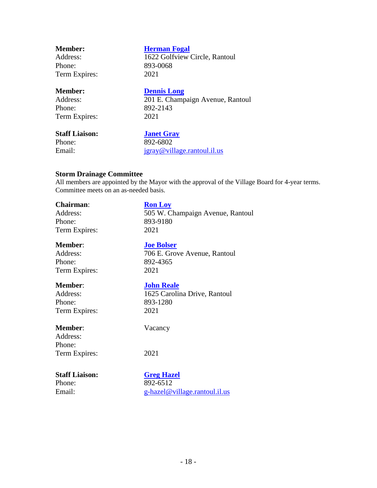| <b>Member:</b> | <b>Herman Fogal</b>                                            |  |  |
|----------------|----------------------------------------------------------------|--|--|
| Address:       | 1622 Golfview Circle, Rantoul                                  |  |  |
| Phone:         | 893-0068                                                       |  |  |
| Term Expires:  | 2021                                                           |  |  |
| <b>Member:</b> | <b>Dennis Long</b>                                             |  |  |
| .              | $\sim$ $\sim$ $\sim$ $\sim$ $\sim$<br>$\overline{\phantom{a}}$ |  |  |

Phone: 892-2143 Term Expires: 2021

Address: 201 E. Champaign Avenue, Rantoul

## **Staff Liaison: [Janet Gray](mailto:btschurter@tbklaw.com)**

Phone: 892-6802 Email: [jgray@village.rantoul.il.us](mailto:jgray@village.rantoul.il.us)

# **Storm Drainage Committee**

All members are appointed by the Mayor with the approval of the Village Board for 4-year terms. Committee meets on an as-needed basis.

| <b>Chairman:</b>      | <b>Ron Loy</b>                   |
|-----------------------|----------------------------------|
| Address:              | 505 W. Champaign Avenue, Rantoul |
| Phone:                | 893-9180                         |
| Term Expires:         | 2021                             |
| <b>Member:</b>        | <b>Joe Bolser</b>                |
| Address:              | 706 E. Grove Avenue, Rantoul     |
| Phone:                | 892-4365                         |
| Term Expires:         | 2021                             |
| <b>Member:</b>        | <b>John Reale</b>                |
| Address:              | 1625 Carolina Drive, Rantoul     |
| Phone:                | 893-1280                         |
| Term Expires:         | 2021                             |
| <b>Member:</b>        | Vacancy                          |
| Address:              |                                  |
| Phone:                |                                  |
| Term Expires:         | 2021                             |
| <b>Staff Liaison:</b> | <b>Greg Hazel</b>                |
| Phone:                | 892-6512                         |
| Email:                | g-hazel@village.rantoul.il.us    |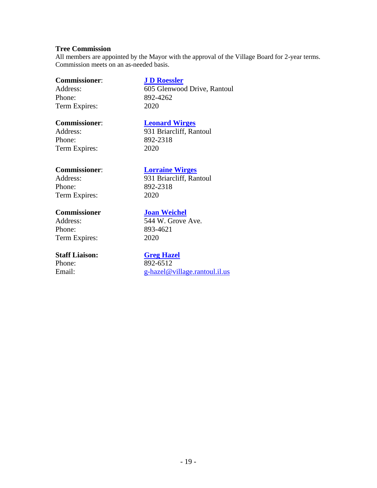#### **Tree Commission**

All members are appointed by the Mayor with the approval of the Village Board for 2-year terms. Commission meets on an as-needed basis.

#### **Commissioner**: **[J D Roessler](mailto:momwirges@aol.com)**

Phone: 892-4262 Term Expires: 2020

# Address: 605 Glenwood Drive, Rantoul

#### **Commissioner**: **[Leonard Wirges](mailto:momwirges@aol.com)**

Phone: 892-2318 Term Expires: 2020

Address: 931 Briarcliff, Rantoul

### **Commissioner**: **[Lorraine Wirges](mailto:momwirges@aol.com)**

Phone: 892-2318 Term Expires: 2020

### **Commissioner [Joan Weichel](mailto:momwirges@aol.com)**

Phone: 893-4621 Term Expires: 2020

## **Staff Liaison: [Greg Hazel](mailto:btschurter@tbklaw.com)**

Address: 931 Briarcliff, Rantoul

Address: 544 W. Grove Ave.

# Phone:  $\frac{892-6512}{g-\text{haze}(\omega)}$ [g-hazel@village.rantoul.il.us](mailto:g-hazel@village.rantoul.il.us)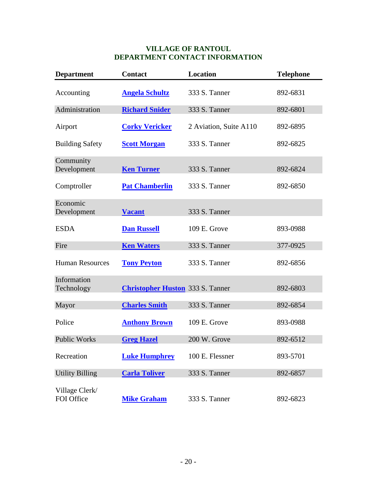## **VILLAGE OF RANTOUL DEPARTMENT CONTACT INFORMATION**

| <b>Department</b>            | <b>Contact</b>                          | <b>Location</b>        | <b>Telephone</b> |
|------------------------------|-----------------------------------------|------------------------|------------------|
| Accounting                   | <b>Angela Schultz</b>                   | 333 S. Tanner          | 892-6831         |
| Administration               | <b>Richard Snider</b>                   | 333 S. Tanner          | 892-6801         |
| Airport                      | <b>Corky Vericker</b>                   | 2 Aviation, Suite A110 | 892-6895         |
| <b>Building Safety</b>       | <b>Scott Morgan</b>                     | 333 S. Tanner          | 892-6825         |
| Community<br>Development     | <b>Ken Turner</b>                       | 333 S. Tanner          | 892-6824         |
| Comptroller                  | <b>Pat Chamberlin</b>                   | 333 S. Tanner          | 892-6850         |
| Economic<br>Development      | <b>Vacant</b>                           | 333 S. Tanner          |                  |
| <b>ESDA</b>                  | <b>Dan Russell</b>                      | 109 E. Grove           | 893-0988         |
| Fire                         | <b>Ken Waters</b>                       | 333 S. Tanner          | 377-0925         |
| <b>Human Resources</b>       | <b>Tony Peyton</b>                      | 333 S. Tanner          | 892-6856         |
| Information<br>Technology    | <b>Christopher Huston</b> 333 S. Tanner |                        | 892-6803         |
| Mayor                        | <b>Charles Smith</b>                    | 333 S. Tanner          | 892-6854         |
| Police                       | <b>Anthony Brown</b>                    | 109 E. Grove           | 893-0988         |
| <b>Public Works</b>          | <b>Greg Hazel</b>                       | 200 W. Grove           | 892-6512         |
| Recreation                   | <b>Luke Humphrey</b>                    | 100 E. Flessner        | 893-5701         |
| <b>Utility Billing</b>       | <b>Carla Toliver</b>                    | 333 S. Tanner          | 892-6857         |
| Village Clerk/<br>FOI Office | <b>Mike Graham</b>                      | 333 S. Tanner          | 892-6823         |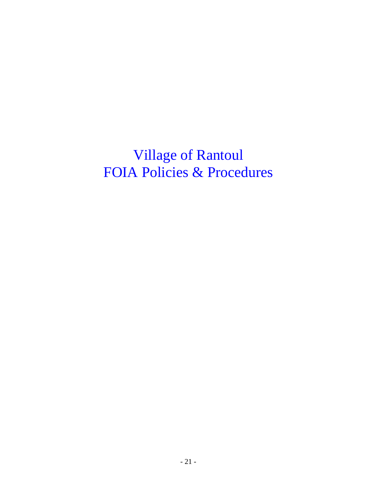Village of Rantoul FOIA Policies & Procedures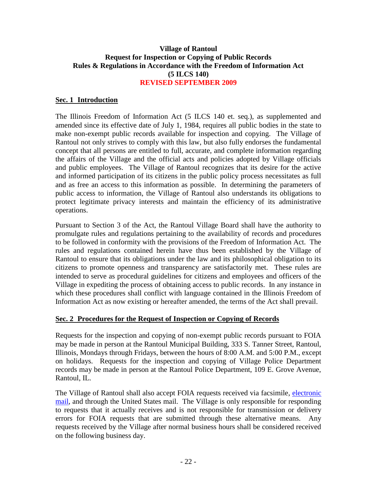## **Village of Rantoul Request for Inspection or Copying of Public Records Rules & Regulations in Accordance with the Freedom of Information Act (5 ILCS 140) REVISED SEPTEMBER 2009**

# **Sec. 1 Introduction**

The Illinois Freedom of Information Act (5 ILCS 140 et. seq.), as supplemented and amended since its effective date of July 1, 1984, requires all public bodies in the state to make non-exempt public records available for inspection and copying. The Village of Rantoul not only strives to comply with this law, but also fully endorses the fundamental concept that all persons are entitled to full, accurate, and complete information regarding the affairs of the Village and the official acts and policies adopted by Village officials and public employees. The Village of Rantoul recognizes that its desire for the active and informed participation of its citizens in the public policy process necessitates as full and as free an access to this information as possible. In determining the parameters of public access to information, the Village of Rantoul also understands its obligations to protect legitimate privacy interests and maintain the efficiency of its administrative operations.

Pursuant to Section 3 of the Act, the Rantoul Village Board shall have the authority to promulgate rules and regulations pertaining to the availability of records and procedures to be followed in conformity with the provisions of the Freedom of Information Act. The rules and regulations contained herein have thus been established by the Village of Rantoul to ensure that its obligations under the law and its philosophical obligation to its citizens to promote openness and transparency are satisfactorily met. These rules are intended to serve as procedural guidelines for citizens and employees and officers of the Village in expediting the process of obtaining access to public records. In any instance in which these procedures shall conflict with language contained in the Illinois Freedom of Information Act as now existing or hereafter amended, the terms of the Act shall prevail.

## **Sec. 2 Procedures for the Request of Inspection or Copying of Records**

Requests for the inspection and copying of non-exempt public records pursuant to FOIA may be made in person at the Rantoul Municipal Building, 333 S. Tanner Street, Rantoul, Illinois, Mondays through Fridays, between the hours of 8:00 A.M. and 5:00 P.M., except on holidays. Requests for the inspection and copying of Village Police Department records may be made in person at the Rantoul Police Department, 109 E. Grove Avenue, Rantoul, IL.

The Village of Rantoul shall also accept FOIA requests received via facsimile, electronic [mail,](mailto:mikepgraham@earthlink.net) and through the United States mail. The Village is only responsible for responding to requests that it actually receives and is not responsible for transmission or delivery errors for FOIA requests that are submitted through these alternative means. Any requests received by the Village after normal business hours shall be considered received on the following business day.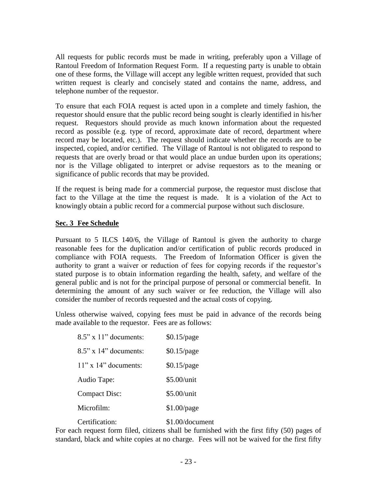All requests for public records must be made in writing, preferably upon a Village of Rantoul Freedom of Information Request Form. If a requesting party is unable to obtain one of these forms, the Village will accept any legible written request, provided that such written request is clearly and concisely stated and contains the name, address, and telephone number of the requestor.

To ensure that each FOIA request is acted upon in a complete and timely fashion, the requestor should ensure that the public record being sought is clearly identified in his/her request. Requestors should provide as much known information about the requested record as possible (e.g. type of record, approximate date of record, department where record may be located, etc.). The request should indicate whether the records are to be inspected, copied, and/or certified. The Village of Rantoul is not obligated to respond to requests that are overly broad or that would place an undue burden upon its operations; nor is the Village obligated to interpret or advise requestors as to the meaning or significance of public records that may be provided.

If the request is being made for a commercial purpose, the requestor must disclose that fact to the Village at the time the request is made. It is a violation of the Act to knowingly obtain a public record for a commercial purpose without such disclosure.

# **Sec. 3 Fee Schedule**

Pursuant to 5 ILCS 140/6, the Village of Rantoul is given the authority to charge reasonable fees for the duplication and/or certification of public records produced in compliance with FOIA requests. The Freedom of Information Officer is given the authority to grant a waiver or reduction of fees for copying records if the requestor's stated purpose is to obtain information regarding the health, safety, and welfare of the general public and is not for the principal purpose of personal or commercial benefit. In determining the amount of any such waiver or fee reduction, the Village will also consider the number of records requested and the actual costs of copying.

Unless otherwise waived, copying fees must be paid in advance of the records being made available to the requestor. Fees are as follows:

| $8.5$ " x 11" documents: | $$0.15$ /page   |
|--------------------------|-----------------|
| $8.5$ " x 14" documents: | $$0.15$ /page   |
| $11"$ x $14"$ documents: | $$0.15$ /page   |
| Audio Tape:              | \$5.00/unit     |
| <b>Compact Disc:</b>     | \$5.00/unit     |
| Microfilm:               | $$1.00$ /page   |
| Certification:           | \$1.00/document |

For each request form filed, citizens shall be furnished with the first fifty (50) pages of standard, black and white copies at no charge. Fees will not be waived for the first fifty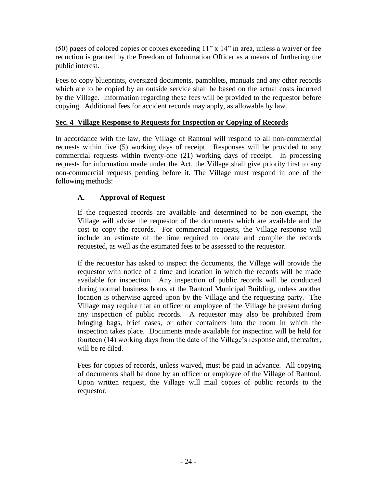(50) pages of colored copies or copies exceeding 11" x 14" in area, unless a waiver or fee reduction is granted by the Freedom of Information Officer as a means of furthering the public interest.

Fees to copy blueprints, oversized documents, pamphlets, manuals and any other records which are to be copied by an outside service shall be based on the actual costs incurred by the Village. Information regarding these fees will be provided to the requestor before copying. Additional fees for accident records may apply, as allowable by law.

# **Sec. 4 Village Response to Requests for Inspection or Copying of Records**

In accordance with the law, the Village of Rantoul will respond to all non-commercial requests within five (5) working days of receipt. Responses will be provided to any commercial requests within twenty-one (21) working days of receipt. In processing requests for information made under the Act, the Village shall give priority first to any non-commercial requests pending before it. The Village must respond in one of the following methods:

# **A. Approval of Request**

If the requested records are available and determined to be non-exempt, the Village will advise the requestor of the documents which are available and the cost to copy the records. For commercial requests, the Village response will include an estimate of the time required to locate and compile the records requested, as well as the estimated fees to be assessed to the requestor.

If the requestor has asked to inspect the documents, the Village will provide the requestor with notice of a time and location in which the records will be made available for inspection. Any inspection of public records will be conducted during normal business hours at the Rantoul Municipal Building, unless another location is otherwise agreed upon by the Village and the requesting party. The Village may require that an officer or employee of the Village be present during any inspection of public records. A requestor may also be prohibited from bringing bags, brief cases, or other containers into the room in which the inspection takes place. Documents made available for inspection will be held for fourteen (14) working days from the date of the Village's response and, thereafter, will be re-filed.

Fees for copies of records, unless waived, must be paid in advance. All copying of documents shall be done by an officer or employee of the Village of Rantoul. Upon written request, the Village will mail copies of public records to the requestor.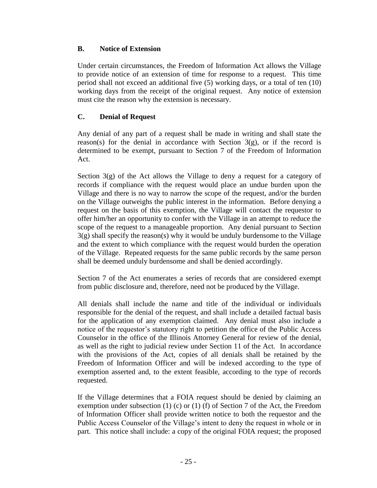## **B. Notice of Extension**

Under certain circumstances, the Freedom of Information Act allows the Village to provide notice of an extension of time for response to a request. This time period shall not exceed an additional five (5) working days, or a total of ten (10) working days from the receipt of the original request. Any notice of extension must cite the reason why the extension is necessary.

# **C. Denial of Request**

Any denial of any part of a request shall be made in writing and shall state the reason(s) for the denial in accordance with Section  $3(g)$ , or if the record is determined to be exempt, pursuant to Section 7 of the Freedom of Information Act.

Section 3(g) of the Act allows the Village to deny a request for a category of records if compliance with the request would place an undue burden upon the Village and there is no way to narrow the scope of the request, and/or the burden on the Village outweighs the public interest in the information. Before denying a request on the basis of this exemption, the Village will contact the requestor to offer him/her an opportunity to confer with the Village in an attempt to reduce the scope of the request to a manageable proportion. Any denial pursuant to Section  $3(g)$  shall specify the reason(s) why it would be unduly burdensome to the Village and the extent to which compliance with the request would burden the operation of the Village. Repeated requests for the same public records by the same person shall be deemed unduly burdensome and shall be denied accordingly.

Section 7 of the Act enumerates a series of records that are considered exempt from public disclosure and, therefore, need not be produced by the Village.

All denials shall include the name and title of the individual or individuals responsible for the denial of the request, and shall include a detailed factual basis for the application of any exemption claimed. Any denial must also include a notice of the requestor's statutory right to petition the office of the Public Access Counselor in the office of the Illinois Attorney General for review of the denial, as well as the right to judicial review under Section 11 of the Act. In accordance with the provisions of the Act, copies of all denials shall be retained by the Freedom of Information Officer and will be indexed according to the type of exemption asserted and, to the extent feasible, according to the type of records requested.

If the Village determines that a FOIA request should be denied by claiming an exemption under subsection  $(1)$   $(c)$  or  $(1)$   $(f)$  of Section 7 of the Act, the Freedom of Information Officer shall provide written notice to both the requestor and the Public Access Counselor of the Village's intent to deny the request in whole or in part. This notice shall include: a copy of the original FOIA request; the proposed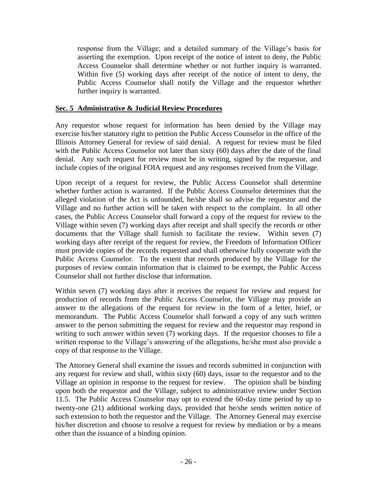response from the Village; and a detailed summary of the Village's basis for asserting the exemption. Upon receipt of the notice of intent to deny, the Public Access Counselor shall determine whether or not further inquiry is warranted. Within five (5) working days after receipt of the notice of intent to deny, the Public Access Counselor shall notify the Village and the requestor whether further inquiry is warranted.

### **Sec. 5 Administrative & Judicial Review Procedures**

Any requestor whose request for information has been denied by the Village may exercise his/her statutory right to petition the Public Access Counselor in the office of the Illinois Attorney General for review of said denial. A request for review must be filed with the Public Access Counselor not later than sixty (60) days after the date of the final denial. Any such request for review must be in writing, signed by the requestor, and include copies of the original FOIA request and any responses received from the Village.

Upon receipt of a request for review, the Public Access Counselor shall determine whether further action is warranted. If the Public Access Counselor determines that the alleged violation of the Act is unfounded, he/she shall so advise the requestor and the Village and no further action will be taken with respect to the complaint. In all other cases, the Public Access Counselor shall forward a copy of the request for review to the Village within seven (7) working days after receipt and shall specify the records or other documents that the Village shall furnish to facilitate the review. Within seven (7) working days after receipt of the request for review, the Freedom of Information Officer must provide copies of the records requested and shall otherwise fully cooperate with the Public Access Counselor. To the extent that records produced by the Village for the purposes of review contain information that is claimed to be exempt, the Public Access Counselor shall not further disclose that information.

Within seven (7) working days after it receives the request for review and request for production of records from the Public Access Counselor, the Village may provide an answer to the allegations of the request for review in the form of a letter, brief, or memorandum. The Public Access Counselor shall forward a copy of any such written answer to the person submitting the request for review and the requestor may respond in writing to such answer within seven (7) working days. If the requestor chooses to file a written response to the Village's answering of the allegations, he/she must also provide a copy of that response to the Village.

The Attorney General shall examine the issues and records submitted in conjunction with any request for review and shall, within sixty (60) days, issue to the requestor and to the Village an opinion in response to the request for review. The opinion shall be binding upon both the requestor and the Village, subject to administrative review under Section 11.5. The Public Access Counselor may opt to extend the 60-day time period by up to twenty-one (21) additional working days, provided that he/she sends written notice of such extension to both the requestor and the Village. The Attorney General may exercise his/her discretion and choose to resolve a request for review by mediation or by a means other than the issuance of a binding opinion.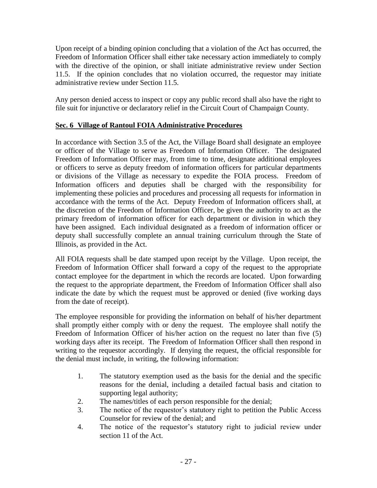Upon receipt of a binding opinion concluding that a violation of the Act has occurred, the Freedom of Information Officer shall either take necessary action immediately to comply with the directive of the opinion, or shall initiate administrative review under Section 11.5. If the opinion concludes that no violation occurred, the requestor may initiate administrative review under Section 11.5.

Any person denied access to inspect or copy any public record shall also have the right to file suit for injunctive or declaratory relief in the Circuit Court of Champaign County.

# **Sec. 6 Village of Rantoul FOIA Administrative Procedures**

In accordance with Section 3.5 of the Act, the Village Board shall designate an employee or officer of the Village to serve as Freedom of Information Officer. The designated Freedom of Information Officer may, from time to time, designate additional employees or officers to serve as deputy freedom of information officers for particular departments or divisions of the Village as necessary to expedite the FOIA process. Freedom of Information officers and deputies shall be charged with the responsibility for implementing these policies and procedures and processing all requests for information in accordance with the terms of the Act. Deputy Freedom of Information officers shall, at the discretion of the Freedom of Information Officer, be given the authority to act as the primary freedom of information officer for each department or division in which they have been assigned. Each individual designated as a freedom of information officer or deputy shall successfully complete an annual training curriculum through the State of Illinois, as provided in the Act.

All FOIA requests shall be date stamped upon receipt by the Village. Upon receipt, the Freedom of Information Officer shall forward a copy of the request to the appropriate contact employee for the department in which the records are located. Upon forwarding the request to the appropriate department, the Freedom of Information Officer shall also indicate the date by which the request must be approved or denied (five working days from the date of receipt).

The employee responsible for providing the information on behalf of his/her department shall promptly either comply with or deny the request. The employee shall notify the Freedom of Information Officer of his/her action on the request no later than five (5) working days after its receipt. The Freedom of Information Officer shall then respond in writing to the requestor accordingly. If denying the request, the official responsible for the denial must include, in writing, the following information:

- 1. The statutory exemption used as the basis for the denial and the specific reasons for the denial, including a detailed factual basis and citation to supporting legal authority;
- 2. The names/titles of each person responsible for the denial;
- 3. The notice of the requestor's statutory right to petition the Public Access Counselor for review of the denial; and
- 4. The notice of the requestor's statutory right to judicial review under section 11 of the Act.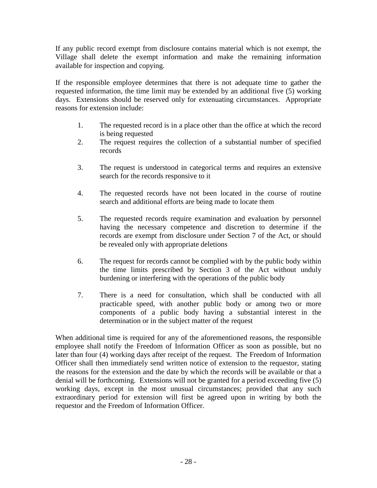If any public record exempt from disclosure contains material which is not exempt, the Village shall delete the exempt information and make the remaining information available for inspection and copying.

If the responsible employee determines that there is not adequate time to gather the requested information, the time limit may be extended by an additional five (5) working days. Extensions should be reserved only for extenuating circumstances. Appropriate reasons for extension include:

- 1. The requested record is in a place other than the office at which the record is being requested
- 2. The request requires the collection of a substantial number of specified records
- 3. The request is understood in categorical terms and requires an extensive search for the records responsive to it
- 4. The requested records have not been located in the course of routine search and additional efforts are being made to locate them
- 5. The requested records require examination and evaluation by personnel having the necessary competence and discretion to determine if the records are exempt from disclosure under Section 7 of the Act, or should be revealed only with appropriate deletions
- 6. The request for records cannot be complied with by the public body within the time limits prescribed by Section 3 of the Act without unduly burdening or interfering with the operations of the public body
- 7. There is a need for consultation, which shall be conducted with all practicable speed, with another public body or among two or more components of a public body having a substantial interest in the determination or in the subject matter of the request

When additional time is required for any of the aforementioned reasons, the responsible employee shall notify the Freedom of Information Officer as soon as possible, but no later than four (4) working days after receipt of the request. The Freedom of Information Officer shall then immediately send written notice of extension to the requestor, stating the reasons for the extension and the date by which the records will be available or that a denial will be forthcoming. Extensions will not be granted for a period exceeding five (5) working days, except in the most unusual circumstances; provided that any such extraordinary period for extension will first be agreed upon in writing by both the requestor and the Freedom of Information Officer.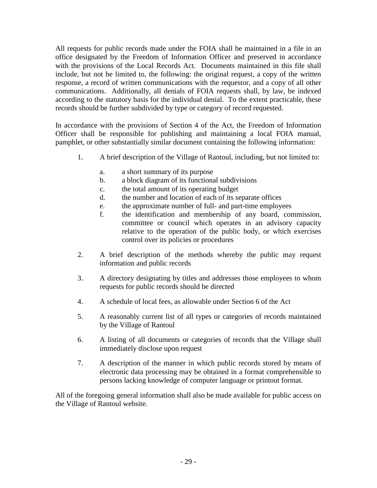All requests for public records made under the FOIA shall be maintained in a file in an office designated by the Freedom of Information Officer and preserved in accordance with the provisions of the Local Records Act. Documents maintained in this file shall include, but not be limited to, the following: the original request, a copy of the written response, a record of written communications with the requestor, and a copy of all other communications. Additionally, all denials of FOIA requests shall, by law, be indexed according to the statutory basis for the individual denial. To the extent practicable, these records should be further subdivided by type or category of record requested.

In accordance with the provisions of Section 4 of the Act, the Freedom of Information Officer shall be responsible for publishing and maintaining a local FOIA manual, pamphlet, or other substantially similar document containing the following information:

- 1. A brief description of the Village of Rantoul, including, but not limited to:
	- a. a short summary of its purpose
	- b. a block diagram of its functional subdivisions
	- c. the total amount of its operating budget
	- d. the number and location of each of its separate offices
	- e. the approximate number of full- and part-time employees
	- f. the identification and membership of any board, commission, committee or council which operates in an advisory capacity relative to the operation of the public body, or which exercises control over its policies or procedures
- 2. A brief description of the methods whereby the public may request information and public records
- 3. A directory designating by titles and addresses those employees to whom requests for public records should be directed
- 4. A schedule of local fees, as allowable under Section 6 of the Act
- 5. A reasonably current list of all types or categories of records maintained by the Village of Rantoul
- 6. A listing of all documents or categories of records that the Village shall immediately disclose upon request
- 7. A description of the manner in which public records stored by means of electronic data processing may be obtained in a format comprehensible to persons lacking knowledge of computer language or printout format.

All of the foregoing general information shall also be made available for public access on the Village of Rantoul website.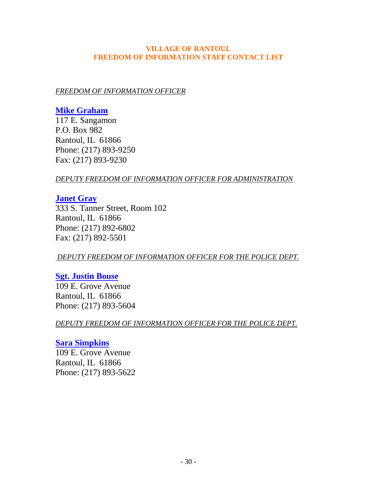### **VILLAGE OF RANTOUL FREEDOM OF INFORMATION STAFF CONTACT LIST**

# *FREEDOM OF INFORMATION OFFICER*

# **[Mike Graham](mailto:mikepgraham@earthlink.net)**

117 E. Sangamon P.O. Box 982 Rantoul, IL 61866 Phone: (217) 893-9250 Fax: (217) 893-9230

# *DEPUTY FREEDOM OF INFORMATION OFFICER FOR ADMINISTRATION*

# **[Janet Gray](mailto:JGray@village.rantoul.il.us)**

333 S. Tanner Street, Room 102 Rantoul, IL 61866 Phone: (217) 892-6802 Fax: (217) 892-5501

# *DEPUTY FREEDOM OF INFORMATION OFFICER FOR THE POLICE DEPT.*

# **[Sgt. Justin Bouse](mailto:JWooten@village.rantoul.il.us)**

109 E. Grove Avenue Rantoul, IL 61866 Phone: (217) 893-5604

*DEPUTY FREEDOM OF INFORMATION OFFICER FOR THE POLICE DEPT.*

# **[Sara Simpkins](mailto:SSimpkin@village.rantoul.il.us)** 109 E. Grove Avenue

Rantoul, IL 61866 Phone: (217) 893-5622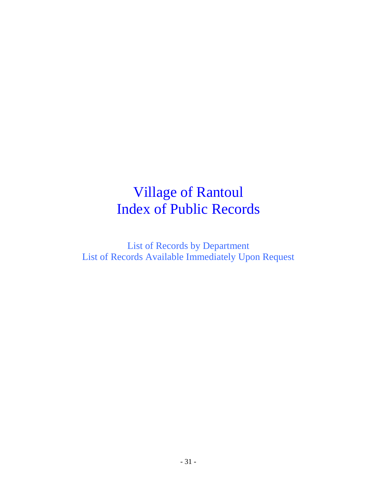# Village of Rantoul Index of Public Records

List of Records by Department List of Records Available Immediately Upon Request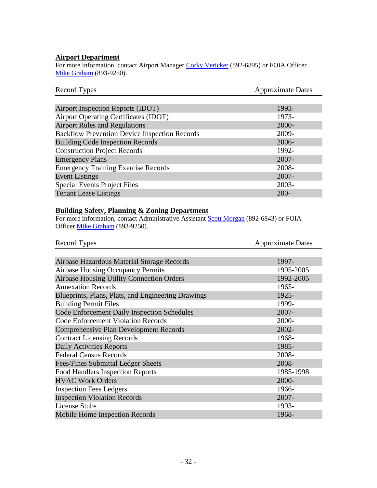### **Airport Department**

For more information, contact Airport Manager [Corky Vericker](mailto:BClayton@village.rantoul.il.us) (892-6895) or FOIA Officer [Mike Graham](mailto:mikepgraham@earthlink.net) (893-9250).

| Record Types                                         | <b>Approximate Dates</b> |
|------------------------------------------------------|--------------------------|
|                                                      |                          |
| Airport Inspection Reports (IDOT)                    | 1993-                    |
| Airport Operating Certificates (IDOT)                | 1973-                    |
| <b>Airport Rules and Regulations</b>                 | 2000-                    |
| <b>Backflow Prevention Device Inspection Records</b> | 2009-                    |
| <b>Building Code Inspection Records</b>              | 2006-                    |
| <b>Construction Project Records</b>                  | 1992-                    |
| <b>Emergency Plans</b>                               | $2007 -$                 |
| <b>Emergency Training Exercise Records</b>           | 2008-                    |
| <b>Event Listings</b>                                | $2007 -$                 |
| <b>Special Events Project Files</b>                  | 2003-                    |
| <b>Tenant Lease Listings</b>                         | $200 -$                  |

# **Building Safety, Planning & Zoning Department**

For more information, contact Administrative Assistant [Scott Morgan](mailto:BRunyon@village.rantoul.il.us) (892-6843) or FOIA Officer [Mike Graham](mailto:mikepgraham@earthlink.net) (893-9250).

| Record Types                                       | <b>Approximate Dates</b> |
|----------------------------------------------------|--------------------------|
|                                                    |                          |
| Airbase Hazardous Material Storage Records         | 1997-                    |
| <b>Airbase Housing Occupancy Permits</b>           | 1995-2005                |
| <b>Airbase Housing Utility Connection Orders</b>   | 1992-2005                |
| <b>Annexation Records</b>                          | 1965-                    |
| Blueprints, Plans, Plats, and Engineering Drawings | 1925-                    |
| <b>Building Permit Files</b>                       | 1999-                    |
| <b>Code Enforcement Daily Inspection Schedules</b> | 2007-                    |
| <b>Code Enforcement Violation Records</b>          | 2000-                    |
| <b>Comprehensive Plan Development Records</b>      | 2002-                    |
| <b>Contract Licensing Records</b>                  | 1968-                    |
| <b>Daily Activities Reports</b>                    | 1985-                    |
| <b>Federal Census Records</b>                      | 2008-                    |
| Fees/Fines Submittal Ledger Sheets                 | 2008-                    |
| <b>Food Handlers Inspection Reports</b>            | 1985-1998                |
| <b>HVAC Work Orders</b>                            | 2000-                    |
| <b>Inspection Fees Ledgers</b>                     | 1966-                    |
| <b>Inspection Violation Records</b>                | 2007-                    |
| <b>License Stubs</b>                               | 1993-                    |
| Mobile Home Inspection Records                     | 1968-                    |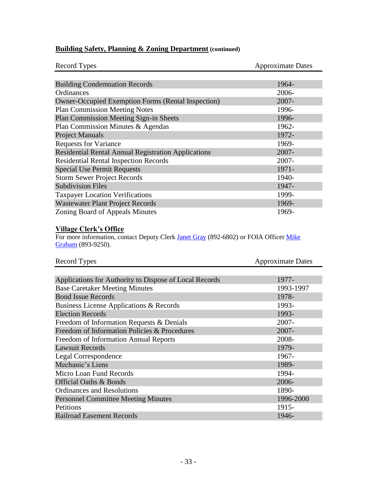| <b>Record Types</b>                                        | <b>Approximate Dates</b> |
|------------------------------------------------------------|--------------------------|
|                                                            |                          |
| <b>Building Condemnation Records</b>                       | 1964-                    |
| Ordinances                                                 | 2006-                    |
| <b>Owner-Occupied Exemption Forms (Rental Inspection)</b>  | 2007-                    |
| <b>Plan Commission Meeting Notes</b>                       | 1996-                    |
| Plan Commission Meeting Sign-in Sheets                     | 1996-                    |
| Plan Commission Minutes & Agendas                          | 1962-                    |
| <b>Project Manuals</b>                                     | 1972-                    |
| <b>Requests for Variance</b>                               | 1969-                    |
| <b>Residential Rental Annual Registration Applications</b> | $2007 -$                 |
| <b>Residential Rental Inspection Records</b>               | $2007 -$                 |
| <b>Special Use Permit Requests</b>                         | 1971-                    |
| <b>Storm Sewer Project Records</b>                         | 1940-                    |
| <b>Subdivision Files</b>                                   | 1947-                    |
| <b>Taxpayer Location Verifications</b>                     | 1999-                    |
| <b>Wastewater Plant Project Records</b>                    | 1969-                    |
| Zoning Board of Appeals Minutes                            | 1969-                    |

# **Building Safety, Planning & Zoning Department (continued)**

#### **Village Clerk's Office**

For more information, contact Deputy Clerk *Janet Gray* (892-6802) or FOIA Officer Mike [Graham](mailto:mikepgraham@earthlink.net) (893-9250).

| Record Types                                           | <b>Approximate Dates</b> |
|--------------------------------------------------------|--------------------------|
|                                                        |                          |
| Applications for Authority to Dispose of Local Records | 1977-                    |
| <b>Base Caretaker Meeting Minutes</b>                  | 1993-1997                |
| <b>Bond Issue Records</b>                              | 1978-                    |
| Business License Applications & Records                | 1993-                    |
| <b>Election Records</b>                                | 1993-                    |
| Freedom of Information Requests & Denials              | $2007 -$                 |
| Freedom of Information Policies & Procedures           | $2007 -$                 |
| Freedom of Information Annual Reports                  | 2008-                    |
| <b>Lawsuit Records</b>                                 | 1979-                    |
| Legal Correspondence                                   | 1967-                    |
| Mechanic's Liens                                       | 1989-                    |
| Micro Loan Fund Records                                | 1994-                    |
| <b>Official Oaths &amp; Bonds</b>                      | 2006-                    |
| <b>Ordinances and Resolutions</b>                      | 1890-                    |
| <b>Personnel Committee Meeting Minutes</b>             | 1996-2000                |
| Petitions                                              | 1915-                    |
| <b>Railroad Easement Records</b>                       | 1946-                    |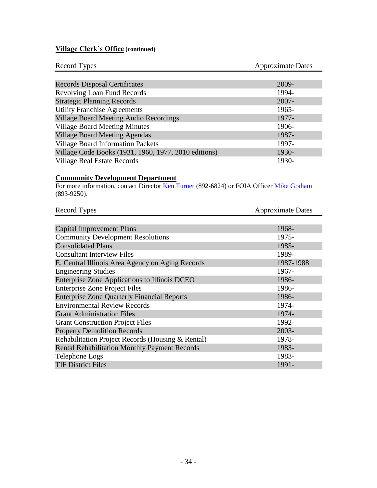# **Village Clerk's Office (continued)**

| Record Types                                         | <b>Approximate Dates</b> |
|------------------------------------------------------|--------------------------|
|                                                      |                          |
| <b>Records Disposal Certificates</b>                 | 2009-                    |
| <b>Revolving Loan Fund Records</b>                   | 1994-                    |
| <b>Strategic Planning Records</b>                    | $2007 -$                 |
| <b>Utility Franchise Agreements</b>                  | 1965-                    |
| <b>Village Board Meeting Audio Recordings</b>        | 1977-                    |
| <b>Village Board Meeting Minutes</b>                 | 1906-                    |
| <b>Village Board Meeting Agendas</b>                 | 1987-                    |
| <b>Village Board Information Packets</b>             | 1997-                    |
| Village Code Books (1931, 1960, 1977, 2010 editions) | 1930-                    |
| <b>Village Real Estate Records</b>                   | 1930-                    |

### **Community Development Department**

For more information, contact Director [Ken Turner](mailto:MLoschen@village.rantoul.il.us) (892-6824) or FOIA Officer [Mike Graham](mailto:mikepgraham@earthlink.net) (893-9250).

| <b>Record Types</b>                                  | <b>Approximate Dates</b> |
|------------------------------------------------------|--------------------------|
|                                                      |                          |
| <b>Capital Improvement Plans</b>                     | 1968-                    |
| <b>Community Development Resolutions</b>             | 1975-                    |
| <b>Consolidated Plans</b>                            | 1985-                    |
| <b>Consultant Interview Files</b>                    | 1989-                    |
| E. Central Illinois Area Agency on Aging Records     | 1987-1988                |
| <b>Engineering Studies</b>                           | 1967-                    |
| Enterprise Zone Applications to Illinois DCEO        | 1986-                    |
| <b>Enterprise Zone Project Files</b>                 | 1986-                    |
| <b>Enterprise Zone Quarterly Financial Reports</b>   | 1986-                    |
| <b>Environmental Review Records</b>                  | 1974-                    |
| <b>Grant Administration Files</b>                    | 1974-                    |
| <b>Grant Construction Project Files</b>              | 1992-                    |
| <b>Property Demolition Records</b>                   | 2003-                    |
| Rehabilitation Project Records (Housing & Rental)    | 1978-                    |
| <b>Rental Rehabilitation Monthly Payment Records</b> | 1983-                    |
| Telephone Logs                                       | 1983-                    |
| <b>TIF District Files</b>                            | 1991-                    |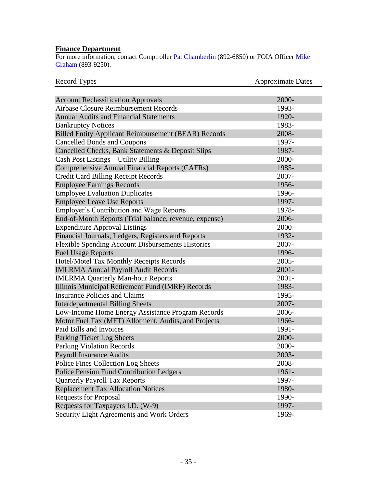### **Finance Department**

For more information, contact Comptroller *Pat Chamberlin* (892-6850) or FOIA Officer *Mike* [Graham](mailto:mikepgraham@earthlink.net) (893-9250).

| Record Types                                                | <b>Approximate Dates</b> |
|-------------------------------------------------------------|--------------------------|
|                                                             |                          |
| <b>Account Reclassification Approvals</b>                   | 2000-                    |
| <b>Airbase Closure Reimbursement Records</b>                | 1993-                    |
| <b>Annual Audits and Financial Statements</b>               | 1920-                    |
| <b>Bankruptcy Notices</b>                                   | 1983-                    |
| <b>Billed Entity Applicant Reimbursement (BEAR) Records</b> | 2008-                    |
| <b>Cancelled Bonds and Coupons</b>                          | 1997-                    |
| Cancelled Checks, Bank Statements & Deposit Slips           | 1987-                    |
| Cash Post Listings - Utility Billing                        | 2000-                    |
| Comprehensive Annual Financial Reports (CAFRs)              | 1985-                    |
| <b>Credit Card Billing Receipt Records</b>                  | 2007-                    |
| <b>Employee Earnings Records</b>                            | 1956-                    |
| <b>Employee Evaluation Duplicates</b>                       | 1996-                    |
| <b>Employee Leave Use Reports</b>                           | 1997-                    |
| <b>Employer's Contribution and Wage Reports</b>             | 1978-                    |
| End-of-Month Reports (Trial balance, revenue, expense)      | 2006-                    |
| <b>Expenditure Approval Listings</b>                        | 2000-                    |
| Financial Journals, Ledgers, Registers and Reports          | 1932-                    |
| <b>Flexible Spending Account Disbursements Histories</b>    | 2007-                    |
| <b>Fuel Usage Reports</b>                                   | 1996-                    |
| Hotel/Motel Tax Monthly Receipts Records                    | 2005-                    |
| <b>IMLRMA Annual Payroll Audit Records</b>                  | $2001 -$                 |
| <b>IMLRMA Quarterly Man-hour Reports</b>                    | $2001 -$                 |
| Illinois Municipal Retirement Fund (IMRF) Records           | 1983-                    |
| <b>Insurance Policies and Claims</b>                        | 1995-                    |
| <b>Interdepartmental Billing Sheets</b>                     | 2007-                    |
| Low-Income Home Energy Assistance Program Records           | 2006-                    |
| Motor Fuel Tax (MFT) Allotment, Audits, and Projects        | 1966-                    |
| Paid Bills and Invoices                                     | 1991-                    |
| Parking Ticket Log Sheets                                   | 2000-                    |
| <b>Parking Violation Records</b>                            | 2000-                    |
| <b>Payroll Insurance Audits</b>                             | 2003-                    |
| Police Fines Collection Log Sheets                          | 2008-                    |
| Police Pension Fund Contribution Ledgers                    | 1961-                    |
| <b>Quarterly Payroll Tax Reports</b>                        | 1997-                    |
| <b>Replacement Tax Allocation Notices</b>                   | 1980-                    |
| <b>Requests for Proposal</b>                                | 1990-                    |
| Requests for Taxpayers I.D. (W-9)                           | 1997-                    |
| Security Light Agreements and Work Orders                   | 1969-                    |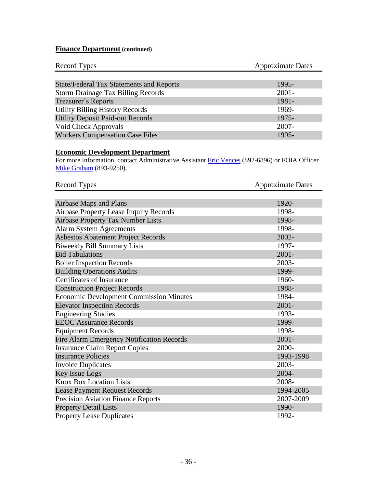# **Finance Department (continued)**

| Record Types                                    | <b>Approximate Dates</b> |
|-------------------------------------------------|--------------------------|
|                                                 |                          |
| <b>State/Federal Tax Statements and Reports</b> | 1995-                    |
| <b>Storm Drainage Tax Billing Records</b>       | $2001 -$                 |
| <b>Treasurer's Reports</b>                      | 1981-                    |
| <b>Utility Billing History Records</b>          | 1969-                    |
| <b>Utility Deposit Paid-out Records</b>         | 1975-                    |
| Void Check Approvals                            | $2007 -$                 |
| <b>Workers Compensation Case Files</b>          | 1995-                    |

# **Economic Development Department**

For more information, contact Administrative Assistant [Eric Vences](mailto:DShields@village.rantoul.il.us) (892-6896) or FOIA Officer [Mike Graham](mailto:mikepgraham@earthlink.net) (893-9250).

| Record Types                                   | <b>Approximate Dates</b> |
|------------------------------------------------|--------------------------|
|                                                |                          |
| Airbase Maps and Plans                         | 1920-                    |
| Airbase Property Lease Inquiry Records         | 1998-                    |
| <b>Airbase Property Tax Number Lists</b>       | 1998-                    |
| <b>Alarm System Agreements</b>                 | 1998-                    |
| <b>Asbestos Abatement Project Records</b>      | 2002-                    |
| <b>Biweekly Bill Summary Lists</b>             | 1997-                    |
| <b>Bid Tabulations</b>                         | $2001 -$                 |
| <b>Boiler Inspection Records</b>               | 2003-                    |
| <b>Building Operations Audits</b>              | 1999-                    |
| Certificates of Insurance                      | 1960-                    |
| <b>Construction Project Records</b>            | 1988-                    |
| <b>Economic Development Commission Minutes</b> | 1984-                    |
| <b>Elevator Inspection Records</b>             | $2001 -$                 |
| <b>Engineering Studies</b>                     | 1993-                    |
| <b>EEOC</b> Assurance Records                  | 1999-                    |
| <b>Equipment Records</b>                       | 1998-                    |
| Fire Alarm Emergency Notification Records      | $2001 -$                 |
| <b>Insurance Claim Report Copies</b>           | 2000-                    |
| <b>Insurance Policies</b>                      | 1993-1998                |
| <b>Invoice Duplicates</b>                      | 2003-                    |
| Key Issue Logs                                 | 2004-                    |
| <b>Knox Box Location Lists</b>                 | 2008-                    |
| <b>Lease Payment Request Records</b>           | 1994-2005                |
| <b>Precision Aviation Finance Reports</b>      | 2007-2009                |
| <b>Property Detail Lists</b>                   | 1990-                    |
| <b>Property Lease Duplicates</b>               | 1992-                    |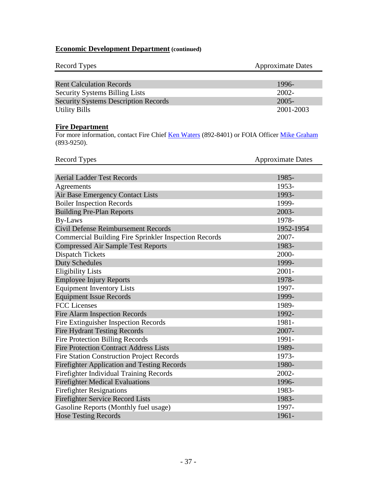# **Economic Development Department (continued)**

| Record Types                                | <b>Approximate Dates</b> |
|---------------------------------------------|--------------------------|
|                                             |                          |
| <b>Rent Calculation Records</b>             | 1996-                    |
| <b>Security Systems Billing Lists</b>       | $2002 -$                 |
| <b>Security Systems Description Records</b> | $2005 -$                 |
| <b>Utility Bills</b>                        | 2001-2003                |

# **Fire Department**

For more information, contact Fire Chief [Ken Waters](mailto:KWaters@village.rantoul.il.us) (892-8401) or FOIA Officer [Mike Graham](mailto:mikepgraham@earthlink.net) (893-9250).

| Record Types                                                 | <b>Approximate Dates</b> |
|--------------------------------------------------------------|--------------------------|
|                                                              |                          |
| <b>Aerial Ladder Test Records</b>                            | 1985-                    |
| Agreements                                                   | 1953-                    |
| Air Base Emergency Contact Lists                             | 1993-                    |
| <b>Boiler Inspection Records</b>                             | 1999-                    |
| <b>Building Pre-Plan Reports</b>                             | 2003-                    |
| <b>By-Laws</b>                                               | 1978-                    |
| Civil Defense Reimbursement Records                          | 1952-1954                |
| <b>Commercial Building Fire Sprinkler Inspection Records</b> | $2007 -$                 |
| <b>Compressed Air Sample Test Reports</b>                    | 1983-                    |
| <b>Dispatch Tickets</b>                                      | 2000-                    |
| <b>Duty Schedules</b>                                        | 1999-                    |
| <b>Eligibility Lists</b>                                     | $2001 -$                 |
| <b>Employee Injury Reports</b>                               | 1978-                    |
| <b>Equipment Inventory Lists</b>                             | 1997-                    |
| <b>Equipment Issue Records</b>                               | 1999-                    |
| <b>FCC</b> Licenses                                          | 1989-                    |
| <b>Fire Alarm Inspection Records</b>                         | 1992-                    |
| Fire Extinguisher Inspection Records                         | 1981-                    |
| <b>Fire Hydrant Testing Records</b>                          | 2007-                    |
| <b>Fire Protection Billing Records</b>                       | 1991-                    |
| <b>Fire Protection Contract Address Lists</b>                | 1989-                    |
| <b>Fire Station Construction Project Records</b>             | 1973-                    |
| <b>Firefighter Application and Testing Records</b>           | 1980-                    |
| Firefighter Individual Training Records                      | 2002-                    |
| <b>Firefighter Medical Evaluations</b>                       | 1996-                    |
| <b>Firefighter Resignations</b>                              | 1983-                    |
| <b>Firefighter Service Record Lists</b>                      | 1983-                    |
| Gasoline Reports (Monthly fuel usage)                        | 1997-                    |
| <b>Hose Testing Records</b>                                  | 1961-                    |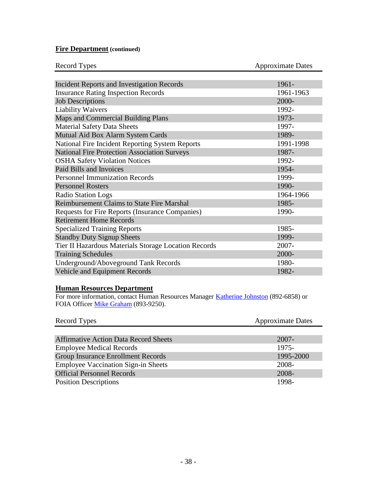# **Fire Department (continued)**

| Record Types                                         | <b>Approximate Dates</b> |
|------------------------------------------------------|--------------------------|
|                                                      |                          |
| <b>Incident Reports and Investigation Records</b>    | 1961-                    |
| <b>Insurance Rating Inspection Records</b>           | 1961-1963                |
| <b>Job Descriptions</b>                              | 2000-                    |
| <b>Liability Waivers</b>                             | 1992-                    |
| Maps and Commercial Building Plans                   | 1973-                    |
| <b>Material Safety Data Sheets</b>                   | 1997-                    |
| Mutual Aid Box Alarm System Cards                    | 1989-                    |
| National Fire Incident Reporting System Reports      | 1991-1998                |
| <b>National Fire Protection Association Surveys</b>  | 1987-                    |
| <b>OSHA Safety Violation Notices</b>                 | 1992-                    |
| Paid Bills and Invoices                              | 1954-                    |
| <b>Personnel Immunization Records</b>                | 1999-                    |
| <b>Personnel Rosters</b>                             | 1990-                    |
| Radio Station Logs                                   | 1964-1966                |
| <b>Reimbursement Claims to State Fire Marshal</b>    | 1985-                    |
| Requests for Fire Reports (Insurance Companies)      | 1990-                    |
| <b>Retirement Home Records</b>                       |                          |
| <b>Specialized Training Reports</b>                  | 1985-                    |
| <b>Standby Duty Signup Sheets</b>                    | 1999-                    |
| Tier II Hazardous Materials Storage Location Records | $2007 -$                 |
| <b>Training Schedules</b>                            | 2000-                    |
| Underground/Aboveground Tank Records                 | 1980-                    |
| <b>Vehicle and Equipment Records</b>                 | 1982-                    |

### **Human Resources Department**

For more information, contact Human Resources Manager [Katherine Johnston](mailto:DCoffey@village.rantoul.il.us) (892-6858) or FOIA Officer [Mike Graham](mailto:mikepgraham@earthlink.net) (893-9250).

| Record Types                                 | <b>Approximate Dates</b> |
|----------------------------------------------|--------------------------|
|                                              |                          |
| <b>Affirmative Action Data Record Sheets</b> | $2007 -$                 |
| <b>Employee Medical Records</b>              | 1975-                    |
| <b>Group Insurance Enrollment Records</b>    | 1995-2000                |
| <b>Employee Vaccination Sign-in Sheets</b>   | 2008-                    |
| <b>Official Personnel Records</b>            | 2008-                    |
| <b>Position Descriptions</b>                 | 1998-                    |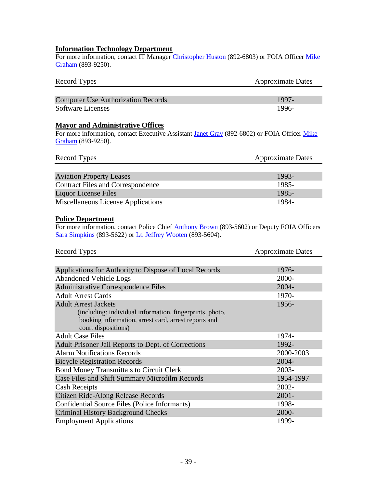# **Information Technology Department**

For more information, contact IT Manager [Christopher Huston](mailto:CHuston@village.rantoul.il.us) (892-6803) or FOIA Officer Mike [Graham](mailto:mikepgraham@earthlink.net) (893-9250).

| Record Types                              | <b>Approximate Dates</b> |
|-------------------------------------------|--------------------------|
|                                           |                          |
| <b>Computer Use Authorization Records</b> | 1997-                    |
| <b>Software Licenses</b>                  | 1996-                    |

#### **Mayor and Administrative Offices**

For more information, contact Executive Assistant [Janet Gray](mailto:J-Gray@village.rantoul.il.us) (892-6802) or FOIA Officer Mike [Graham](mailto:JReale@village.rantoul.il.us) (893-9250).

| Record Types                             | <b>Approximate Dates</b> |
|------------------------------------------|--------------------------|
|                                          |                          |
| <b>Aviation Property Leases</b>          | 1993-                    |
| <b>Contract Files and Correspondence</b> | 1985-                    |
| Liquor License Files                     | 1985-                    |
| Miscellaneous License Applications       | 1984-                    |

# **Police Department**

For more information, contact Police Chief **Anthony Brown** (893-5602) or Deputy FOIA Officers [Sara Simpkins](mailto:SSimpkin@village.rantoul.il.us) (893-5622) or [Lt. Jeffrey Wooten](mailto:JWooten@village.rantoul.il.us) (893-5604).

| Record Types                                                                                                                            | <b>Approximate Dates</b> |
|-----------------------------------------------------------------------------------------------------------------------------------------|--------------------------|
|                                                                                                                                         |                          |
| Applications for Authority to Dispose of Local Records                                                                                  | 1976-                    |
| <b>Abandoned Vehicle Logs</b>                                                                                                           | 2000-                    |
| <b>Administrative Correspondence Files</b>                                                                                              | 2004-                    |
| <b>Adult Arrest Cards</b>                                                                                                               | 1970-                    |
| <b>Adult Arrest Jackets</b>                                                                                                             | 1956-                    |
| (including: individual information, fingerprints, photo,<br>booking information, arrest card, arrest reports and<br>court dispositions) |                          |
| <b>Adult Case Files</b>                                                                                                                 | 1974-                    |
| Adult Prisoner Jail Reports to Dept. of Corrections                                                                                     | 1992-                    |
| <b>Alarm Notifications Records</b>                                                                                                      | 2000-2003                |
| <b>Bicycle Registration Records</b>                                                                                                     | 2004-                    |
| <b>Bond Money Transmittals to Circuit Clerk</b>                                                                                         | $2003 -$                 |
| Case Files and Shift Summary Microfilm Records                                                                                          | 1954-1997                |
| <b>Cash Receipts</b>                                                                                                                    | $2002 -$                 |
| Citizen Ride-Along Release Records                                                                                                      | $2001 -$                 |
| Confidential Source Files (Police Informants)                                                                                           | 1998-                    |
| <b>Criminal History Background Checks</b>                                                                                               | 2000-                    |
| <b>Employment Applications</b>                                                                                                          | 1999-                    |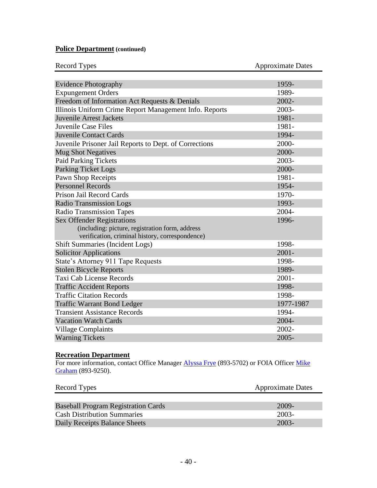# **Police Department (continued)**

| <b>Record Types</b> |  |
|---------------------|--|

**Approximate Dates** 

| <b>Evidence Photography</b>                            | 1959-     |
|--------------------------------------------------------|-----------|
| <b>Expungement Orders</b>                              | 1989-     |
| Freedom of Information Act Requests & Denials          | 2002-     |
| Illinois Uniform Crime Report Management Info. Reports | 2003-     |
| <b>Juvenile Arrest Jackets</b>                         | 1981-     |
| <b>Juvenile Case Files</b>                             | 1981-     |
| <b>Juvenile Contact Cards</b>                          | 1994-     |
| Juvenile Prisoner Jail Reports to Dept. of Corrections | 2000-     |
| <b>Mug Shot Negatives</b>                              | 2000-     |
| <b>Paid Parking Tickets</b>                            | 2003-     |
| <b>Parking Ticket Logs</b>                             | 2000-     |
| <b>Pawn Shop Receipts</b>                              | 1981-     |
| <b>Personnel Records</b>                               | 1954-     |
| Prison Jail Record Cards                               | 1970-     |
| <b>Radio Transmission Logs</b>                         | 1993-     |
| <b>Radio Transmission Tapes</b>                        | 2004-     |
| <b>Sex Offender Registrations</b>                      | 1996-     |
| (including: picture, registration form, address        |           |
| verification, criminal history, correspondence)        |           |
| <b>Shift Summaries (Incident Logs)</b>                 | 1998-     |
| <b>Solicitor Applications</b>                          | $2001 -$  |
| State's Attorney 911 Tape Requests                     | 1998-     |
| <b>Stolen Bicycle Reports</b>                          | 1989-     |
| Taxi Cab License Records                               | $2001 -$  |
| <b>Traffic Accident Reports</b>                        | 1998-     |
| <b>Traffic Citation Records</b>                        | 1998-     |
| <b>Traffic Warrant Bond Ledger</b>                     | 1977-1987 |
| <b>Transient Assistance Records</b>                    | 1994-     |
| <b>Vacation Watch Cards</b>                            | $2004 -$  |
| <b>Village Complaints</b>                              | 2002-     |
| <b>Warning Tickets</b>                                 | $2005 -$  |

#### **Recreation Department**

For more information, contact Office Manager [Alyssa Frye](mailto:DBriggs@village.rantoul.il.us) (893-5702) or FOIA Officer Mike [Graham](mailto:mikepgraham@earthlink.net) (893-9250).

| Record Types                               | <b>Approximate Dates</b> |
|--------------------------------------------|--------------------------|
|                                            |                          |
| <b>Baseball Program Registration Cards</b> | 2009-                    |
| <b>Cash Distribution Summaries</b>         | $2003 -$                 |
| Daily Receipts Balance Sheets              | $2003 -$                 |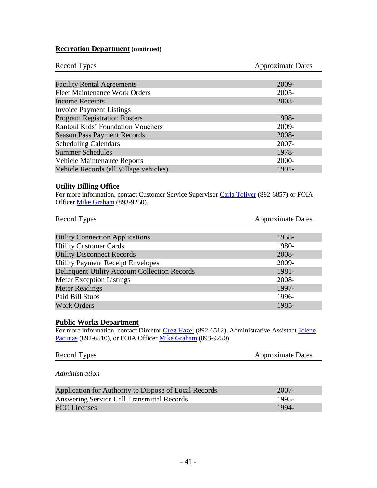## **Recreation Department (continued)**

| Record Types                             | <b>Approximate Dates</b> |
|------------------------------------------|--------------------------|
|                                          |                          |
| <b>Facility Rental Agreements</b>        | 2009-                    |
| <b>Fleet Maintenance Work Orders</b>     | $2005 -$                 |
| Income Receipts                          | $2003 -$                 |
| <b>Invoice Payment Listings</b>          |                          |
| <b>Program Registration Rosters</b>      | 1998-                    |
| <b>Rantoul Kids' Foundation Vouchers</b> | 2009-                    |
| <b>Season Pass Payment Records</b>       | 2008-                    |
| <b>Scheduling Calendars</b>              | $2007 -$                 |
| <b>Summer Schedules</b>                  | 1978-                    |
| <b>Vehicle Maintenance Reports</b>       | 2000-                    |
| Vehicle Records (all Village vehicles)   | 1991-                    |

### **Utility Billing Office**

For more information, contact Customer Service Supervisor [Carla Toliver](mailto:CToliver@village.rantoul.il.us) (892-6857) or FOIA Officer [Mike Graham](mailto:mikepgraham@earthlink.net) (893-9250).

| <b>Record Types</b>                           | <b>Approximate Dates</b> |
|-----------------------------------------------|--------------------------|
|                                               |                          |
| <b>Utility Connection Applications</b>        | 1958-                    |
| <b>Utility Customer Cards</b>                 | 1980-                    |
| <b>Utility Disconnect Records</b>             | 2008-                    |
| <b>Utility Payment Receipt Envelopes</b>      | 2009-                    |
| Delinquent Utility Account Collection Records | 1981-                    |
| Meter Exception Listings                      | 2008-                    |
| <b>Meter Readings</b>                         | 1997-                    |
| Paid Bill Stubs                               | 1996-                    |
| <b>Work Orders</b>                            | 1985-                    |

### **Public Works Department**

For more information, contact Director [Greg Hazel](mailto:G-Hazel@village.rantoul.il.us) (892-6512), Administrative Assistant Jolene [Pacunas](mailto:JPeavler@village.rantoul.il.us) (892-6510), or FOIA Officer [Mike Graham](mailto:mikepgraham@earthlink.net) (893-9250).

| <b>Record Types</b><br><b>Approximate Dates</b> |  |
|-------------------------------------------------|--|
|-------------------------------------------------|--|

#### *Administration*

| Application for Authority to Dispose of Local Records | 2007-  |
|-------------------------------------------------------|--------|
| Answering Service Call Transmittal Records            | -1995- |
| <b>FCC</b> Licenses                                   | -1994- |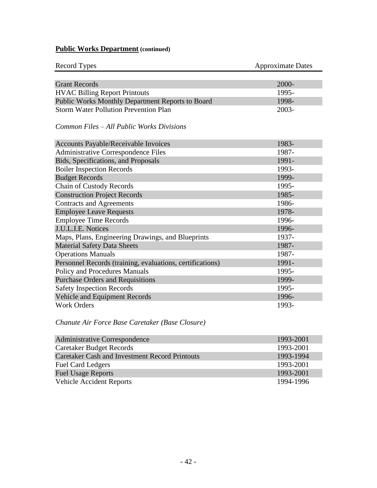| <b>Record Types</b>                                       | <b>Approximate Dates</b> |
|-----------------------------------------------------------|--------------------------|
|                                                           |                          |
| <b>Grant Records</b>                                      | 2000-                    |
| <b>HVAC Billing Report Printouts</b>                      | 1995-                    |
| Public Works Monthly Department Reports to Board          | 1998-                    |
| <b>Storm Water Pollution Prevention Plan</b>              | 2003-                    |
| <i>Common Files – All Public Works Divisions</i>          |                          |
| Accounts Payable/Receivable Invoices                      | 1983-                    |
| <b>Administrative Correspondence Files</b>                | 1987-                    |
| Bids, Specifications, and Proposals                       | 1991-                    |
| <b>Boiler Inspection Records</b>                          | 1993-                    |
| <b>Budget Records</b>                                     | 1999-                    |
| <b>Chain of Custody Records</b>                           | 1995-                    |
| <b>Construction Project Records</b>                       | 1985-                    |
| <b>Contracts and Agreements</b>                           | 1986-                    |
| <b>Employee Leave Requests</b>                            | 1978-                    |
| <b>Employee Time Records</b>                              | 1996-                    |
| J.U.L.I.E. Notices                                        | 1996-                    |
| Maps, Plans, Engineering Drawings, and Blueprints         | 1937-                    |
| <b>Material Safety Data Sheets</b>                        | 1987-                    |
| <b>Operations Manuals</b>                                 | 1987-                    |
| Personnel Records (training, evaluations, certifications) | 1991-                    |
| Policy and Procedures Manuals                             | 1995-                    |
| <b>Purchase Orders and Requisitions</b>                   | 1999-                    |
| <b>Safety Inspection Records</b>                          | 1995-                    |
| Vehicle and Equipment Records                             | 1996-                    |
| <b>Work Orders</b>                                        | 1993-                    |

# *Chanute Air Force Base Caretaker (Base Closure)*

| <b>Administrative Correspondence</b>                  | 1993-2001 |
|-------------------------------------------------------|-----------|
| <b>Caretaker Budget Records</b>                       | 1993-2001 |
| <b>Caretaker Cash and Investment Record Printouts</b> | 1993-1994 |
| <b>Fuel Card Ledgers</b>                              | 1993-2001 |
| <b>Fuel Usage Reports</b>                             | 1993-2001 |
| <b>Vehicle Accident Reports</b>                       | 1994-1996 |
|                                                       |           |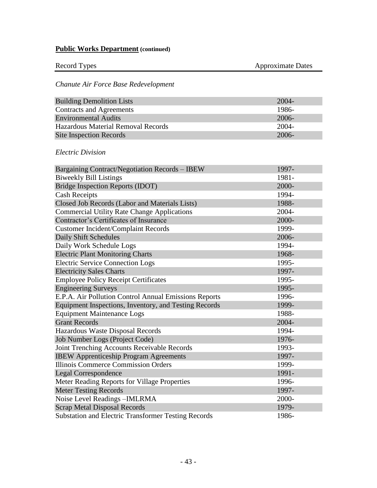| Record Types | <b>Approximate Dates</b> |
|--------------|--------------------------|
|              |                          |

# *Chanute Air Force Base Redevelopment*

| <b>Building Demolition Lists</b>   | $2004 -$ |
|------------------------------------|----------|
| Contracts and Agreements           | 1986-    |
| <b>Environmental Audits</b>        | $2006 -$ |
| Hazardous Material Removal Records | 2004-    |
| <b>Site Inspection Records</b>     | $2006 -$ |

### *Electric Division*

| Bargaining Contract/Negotiation Records - IBEW             | 1997- |
|------------------------------------------------------------|-------|
| <b>Biweekly Bill Listings</b>                              | 1981- |
| Bridge Inspection Reports (IDOT)                           | 2000- |
| <b>Cash Receipts</b>                                       | 1994- |
| Closed Job Records (Labor and Materials Lists)             | 1988- |
| <b>Commercial Utility Rate Change Applications</b>         | 2004- |
| Contractor's Certificates of Insurance                     | 2000- |
| <b>Customer Incident/Complaint Records</b>                 | 1999- |
| Daily Shift Schedules                                      | 2006- |
| Daily Work Schedule Logs                                   | 1994- |
| <b>Electric Plant Monitoring Charts</b>                    | 1968- |
| <b>Electric Service Connection Logs</b>                    | 1995- |
| <b>Electricity Sales Charts</b>                            | 1997- |
| <b>Employee Policy Receipt Certificates</b>                | 1995- |
| <b>Engineering Surveys</b>                                 | 1995- |
| E.P.A. Air Pollution Control Annual Emissions Reports      | 1996- |
| Equipment Inspections, Inventory, and Testing Records      | 1999- |
| <b>Equipment Maintenance Logs</b>                          | 1988- |
| <b>Grant Records</b>                                       | 2004- |
| Hazardous Waste Disposal Records                           | 1994- |
| Job Number Logs (Project Code)                             | 1976- |
| Joint Trenching Accounts Receivable Records                | 1993- |
| <b>IBEW Apprenticeship Program Agreements</b>              | 1997- |
| <b>Illinois Commerce Commission Orders</b>                 | 1999- |
| <b>Legal Correspondence</b>                                | 1991- |
| Meter Reading Reports for Village Properties               | 1996- |
| <b>Meter Testing Records</b>                               | 1997- |
| Noise Level Readings-IMLRMA                                | 2000- |
| <b>Scrap Metal Disposal Records</b>                        | 1979- |
| <b>Substation and Electric Transformer Testing Records</b> | 1986- |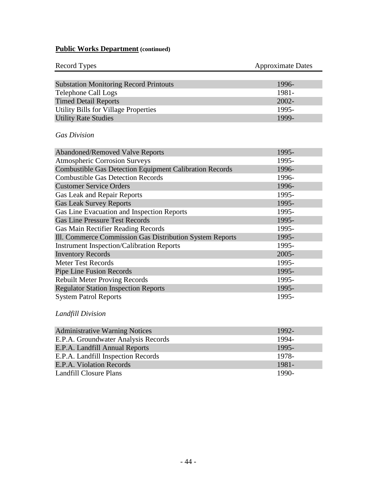| <b>Record Types</b>                           | <b>Approximate Dates</b> |
|-----------------------------------------------|--------------------------|
|                                               |                          |
| <b>Substation Monitoring Record Printouts</b> | 1996-                    |
| Telephone Call Logs                           | 1981-                    |
| <b>Timed Detail Reports</b>                   | $2002 -$                 |
| <b>Utility Bills for Village Properties</b>   | 1995-                    |
| <b>Utility Rate Studies</b>                   | 1999-                    |

## *Gas Division*

| <b>Abandoned/Removed Valve Reports</b>                         | 1995-    |
|----------------------------------------------------------------|----------|
| <b>Atmospheric Corrosion Surveys</b>                           | 1995-    |
| <b>Combustible Gas Detection Equipment Calibration Records</b> | 1996-    |
| <b>Combustible Gas Detection Records</b>                       | 1996-    |
| <b>Customer Service Orders</b>                                 | 1996-    |
| Gas Leak and Repair Reports                                    | 1995-    |
| <b>Gas Leak Survey Reports</b>                                 | 1995-    |
| Gas Line Evacuation and Inspection Reports                     | 1995-    |
| <b>Gas Line Pressure Test Records</b>                          | 1995-    |
| Gas Main Rectifier Reading Records                             | 1995-    |
| Ill. Commerce Commission Gas Distribution System Reports       | 1995-    |
| <b>Instrument Inspection/Calibration Reports</b>               | 1995-    |
| <b>Inventory Records</b>                                       | $2005 -$ |
| <b>Meter Test Records</b>                                      | 1995-    |
| Pipe Line Fusion Records                                       | 1995-    |
| <b>Rebuilt Meter Proving Records</b>                           | 1995-    |
| <b>Regulator Station Inspection Reports</b>                    | 1995-    |
| <b>System Patrol Reports</b>                                   | 1995-    |

# *Landfill Division*

| <b>Administrative Warning Notices</b> | 1992- |
|---------------------------------------|-------|
| E.P.A. Groundwater Analysis Records   | 1994- |
| E.P.A. Landfill Annual Reports        | 1995- |
| E.P.A. Landfill Inspection Records    | 1978- |
| E.P.A. Violation Records              | 1981- |
| Landfill Closure Plans                | 1990- |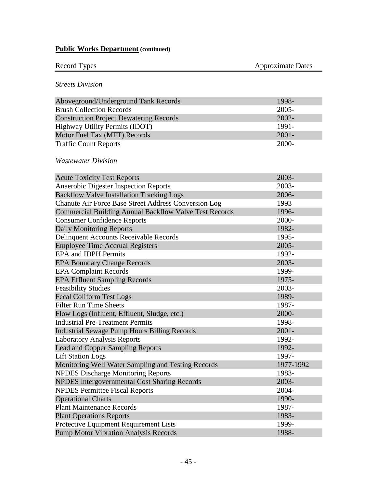| Record Types |  |
|--------------|--|
|              |  |

Approximate Dates

## *Streets Division*

| Aboveground/Underground Tank Records           | 1998-    |
|------------------------------------------------|----------|
| <b>Brush Collection Records</b>                | $2005 -$ |
| <b>Construction Project Dewatering Records</b> | $2002 -$ |
| Highway Utility Permits (IDOT)                 | 1991-    |
| Motor Fuel Tax (MFT) Records                   | $2001 -$ |
| <b>Traffic Count Reports</b>                   | 2000-    |

# *Wastewater Division*

| <b>Acute Toxicity Test Reports</b>                            | 2003-     |
|---------------------------------------------------------------|-----------|
| Anaerobic Digester Inspection Reports                         | 2003-     |
| <b>Backflow Valve Installation Tracking Logs</b>              | 2006-     |
| Chanute Air Force Base Street Address Conversion Log          | 1993      |
| <b>Commercial Building Annual Backflow Valve Test Records</b> | 1996-     |
| <b>Consumer Confidence Reports</b>                            | 2000-     |
| <b>Daily Monitoring Reports</b>                               | 1982-     |
| Delinquent Accounts Receivable Records                        | 1995-     |
| <b>Employee Time Accrual Registers</b>                        | $2005 -$  |
| <b>EPA</b> and <b>IDPH</b> Permits                            | 1992-     |
| <b>EPA Boundary Change Records</b>                            | 2003-     |
| <b>EPA Complaint Records</b>                                  | 1999-     |
| <b>EPA Effluent Sampling Records</b>                          | 1975-     |
| <b>Feasibility Studies</b>                                    | 2003-     |
| <b>Fecal Coliform Test Logs</b>                               | 1989-     |
| <b>Filter Run Time Sheets</b>                                 | 1987-     |
| Flow Logs (Influent, Effluent, Sludge, etc.)                  | 2000-     |
| <b>Industrial Pre-Treatment Permits</b>                       | 1998-     |
| <b>Industrial Sewage Pump Hours Billing Records</b>           | $2001 -$  |
| <b>Laboratory Analysis Reports</b>                            | 1992-     |
| Lead and Copper Sampling Reports                              | 1992-     |
| <b>Lift Station Logs</b>                                      | 1997-     |
| Monitoring Well Water Sampling and Testing Records            | 1977-1992 |
| <b>NPDES Discharge Monitoring Reports</b>                     | 1983-     |
| NPDES Intergovernmental Cost Sharing Records                  | 2003-     |
| <b>NPDES Permittee Fiscal Reports</b>                         | 2004-     |
| <b>Operational Charts</b>                                     | 1990-     |
| <b>Plant Maintenance Records</b>                              | 1987-     |
| <b>Plant Operations Reports</b>                               | 1983-     |
| Protective Equipment Requirement Lists                        | 1999-     |
| <b>Pump Motor Vibration Analysis Records</b>                  | 1988-     |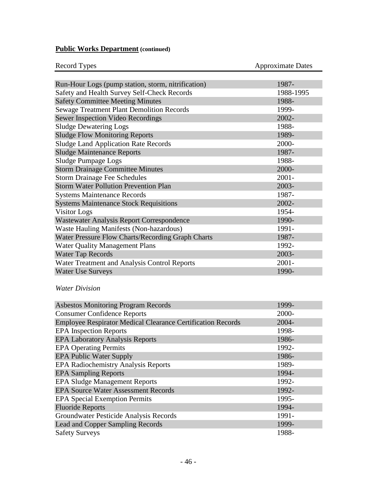| <b>Record Types</b>                                | <b>Approximate Dates</b> |
|----------------------------------------------------|--------------------------|
|                                                    |                          |
| Run-Hour Logs (pump station, storm, nitrification) | 1987-                    |
| Safety and Health Survey Self-Check Records        | 1988-1995                |
| <b>Safety Committee Meeting Minutes</b>            | 1988-                    |
| <b>Sewage Treatment Plant Demolition Records</b>   | 1999-                    |
| Sewer Inspection Video Recordings                  | 2002-                    |
| <b>Sludge Dewatering Logs</b>                      | 1988-                    |
| <b>Sludge Flow Monitoring Reports</b>              | 1989-                    |
| <b>Sludge Land Application Rate Records</b>        | 2000-                    |
| <b>Sludge Maintenance Reports</b>                  | 1987-                    |
| Sludge Pumpage Logs                                | 1988-                    |
| <b>Storm Drainage Committee Minutes</b>            | 2000-                    |
| <b>Storm Drainage Fee Schedules</b>                | $2001 -$                 |
| <b>Storm Water Pollution Prevention Plan</b>       | 2003-                    |
| <b>Systems Maintenance Records</b>                 | 1987-                    |
| <b>Systems Maintenance Stock Requisitions</b>      | 2002-                    |
| <b>Visitor</b> Logs                                | 1954-                    |
| Wastewater Analysis Report Correspondence          | 1990-                    |
| Waste Hauling Manifests (Non-hazardous)            | 1991-                    |
| Water Pressure Flow Charts/Recording Graph Charts  | 1987-                    |
| <b>Water Quality Management Plans</b>              | 1992-                    |
| <b>Water Tap Records</b>                           | 2003-                    |
| Water Treatment and Analysis Control Reports       | $2001 -$                 |
| <b>Water Use Surveys</b>                           | 1990-                    |

## *Water Division*

| <b>Asbestos Monitoring Program Records</b>                         | 1999-    |
|--------------------------------------------------------------------|----------|
| <b>Consumer Confidence Reports</b>                                 | 2000-    |
| <b>Employee Respirator Medical Clearance Certification Records</b> | $2004 -$ |
| <b>EPA</b> Inspection Reports                                      | 1998-    |
| <b>EPA Laboratory Analysis Reports</b>                             | 1986-    |
| <b>EPA Operating Permits</b>                                       | 1992-    |
| <b>EPA Public Water Supply</b>                                     | 1986-    |
| <b>EPA Radiochemistry Analysis Reports</b>                         | 1989-    |
| <b>EPA Sampling Reports</b>                                        | 1994-    |
| <b>EPA Sludge Management Reports</b>                               | 1992-    |
| <b>EPA Source Water Assessment Records</b>                         | 1992-    |
| <b>EPA Special Exemption Permits</b>                               | 1995-    |
| <b>Fluoride Reports</b>                                            | 1994-    |
| Groundwater Pesticide Analysis Records                             | 1991-    |
| <b>Lead and Copper Sampling Records</b>                            | 1999-    |
| <b>Safety Surveys</b>                                              | 1988-    |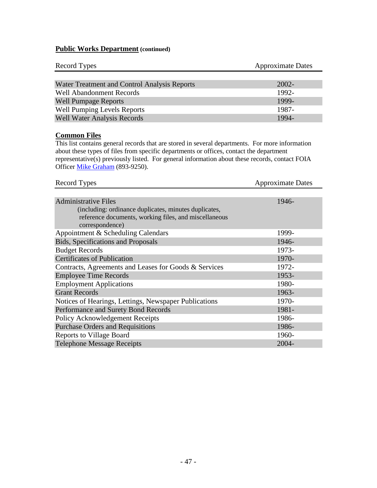| Record Types                                 | <b>Approximate Dates</b> |
|----------------------------------------------|--------------------------|
|                                              |                          |
| Water Treatment and Control Analysis Reports | $2002 -$                 |
| <b>Well Abandonment Records</b>              | 1992-                    |
| <b>Well Pumpage Reports</b>                  | 1999-                    |
| <b>Well Pumping Levels Reports</b>           | 1987-                    |
| <b>Well Water Analysis Records</b>           | 1994-                    |

#### **Common Files**

This list contains general records that are stored in several departments. For more information about these types of files from specific departments or offices, contact the department representative(s) previously listed. For general information about these records, contact FOIA Officer [Mike Graham](mailto:mikepgraham@earthlink.net) (893-9250).

| Record Types                                          | <b>Approximate Dates</b> |
|-------------------------------------------------------|--------------------------|
|                                                       |                          |
| <b>Administrative Files</b>                           | 1946-                    |
| (including: ordinance duplicates, minutes duplicates, |                          |
| reference documents, working files, and miscellaneous |                          |
| correspondence)                                       |                          |
| Appointment & Scheduling Calendars                    | 1999-                    |
| <b>Bids, Specifications and Proposals</b>             | 1946-                    |
| <b>Budget Records</b>                                 | 1973-                    |
| <b>Certificates of Publication</b>                    | 1970-                    |
| Contracts, Agreements and Leases for Goods & Services | 1972-                    |
| <b>Employee Time Records</b>                          | 1953-                    |
| <b>Employment Applications</b>                        | 1980-                    |
| <b>Grant Records</b>                                  | 1963-                    |
| Notices of Hearings, Lettings, Newspaper Publications | 1970-                    |
| Performance and Surety Bond Records                   | 1981-                    |
| Policy Acknowledgement Receipts                       | 1986-                    |
| <b>Purchase Orders and Requisitions</b>               | 1986-                    |
| <b>Reports to Village Board</b>                       | 1960-                    |
| <b>Telephone Message Receipts</b>                     | $2004 -$                 |